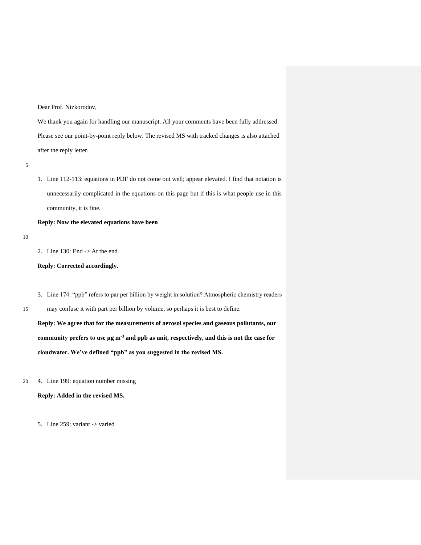Dear Prof. Nizkorodov,

We thank you again for handling our manuscript. All your comments have been fully addressed. Please see our point-by-point reply below. The revised MS with tracked changes is also attached after the reply letter.

5

1. Line 112-113: equations in PDF do not come out well; appear elevated. I find that notation is unnecessarily complicated in the equations on this page but if this is what people use in this community, it is fine.

**Reply: Now the elevated equations have been**

10

2. Line 130: End -> At the end

**Reply: Corrected accordingly.**

- 3. Line 174: "ppb" refers to par per billion by weight in solution? Atmospheric chemistry readers
- 15 may confuse it with part per billion by volume, so perhaps it is best to define.

**Reply: We agree that for the measurements of aerosol species and gaseous pollutants, our community prefers to use μg m-3 and ppb as unit, respectively, and this is not the case for cloudwater. We've defined "ppb" as you suggested in the revised MS.**

20 4. Line 199: equation number missing

**Reply: Added in the revised MS.**

5. Line 259: variant -> varied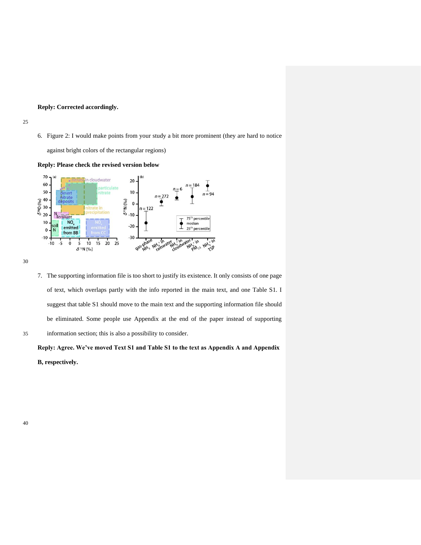# **Reply: Corrected accordingly.**

6. Figure 2: I would make points from your study a bit more prominent (they are hard to notice

against bright colors of the rectangular regions)





30

7. The supporting information file is too short to justify its existence. It only consists of one page of text, which overlaps partly with the info reported in the main text, and one Table S1. I suggest that table S1 should move to the main text and the supporting information file should be eliminated. Some people use Appendix at the end of the paper instead of supporting 35 information section; this is also a possibility to consider.

**Reply: Agree. We've moved Text S1 and Table S1 to the text as Appendix A and Appendix B, respectively.**

40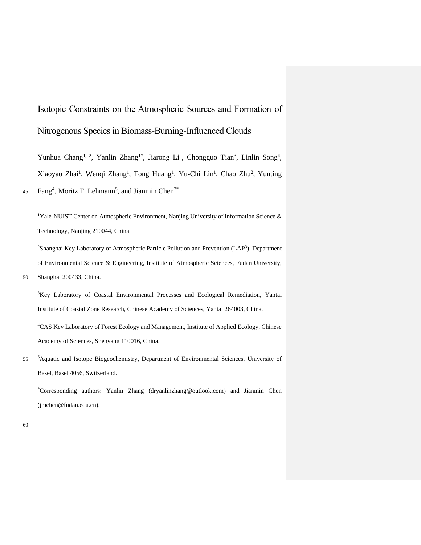Isotopic Constraints on the Atmospheric Sources and Formation of Nitrogenous Species in Biomass-Burning-Influenced Clouds

Yunhua Chang<sup>1, 2</sup>, Yanlin Zhang<sup>1\*</sup>, Jiarong Li<sup>2</sup>, Chongguo Tian<sup>3</sup>, Linlin Song<sup>4</sup>, Xiaoyao Zhai<sup>1</sup>, Wenqi Zhang<sup>1</sup>, Tong Huang<sup>1</sup>, Yu-Chi Lin<sup>1</sup>, Chao Zhu<sup>2</sup>, Yunting 45 Fang<sup>4</sup>, Moritz F. Lehmann<sup>5</sup>, and Jianmin Chen<sup>2\*</sup>

<sup>1</sup>Yale-NUIST Center on Atmospheric Environment, Nanjing University of Information Science & Technology, Nanjing 210044, China.

<sup>2</sup>Shanghai Key Laboratory of Atmospheric Particle Pollution and Prevention (LAP<sup>3</sup>), Department of Environmental Science & Engineering, Institute of Atmospheric Sciences, Fudan University, 50 Shanghai 200433, China.

<sup>3</sup>Key Laboratory of Coastal Environmental Processes and Ecological Remediation, Yantai Institute of Coastal Zone Research, Chinese Academy of Sciences, Yantai 264003, China.

<sup>4</sup>CAS Key Laboratory of Forest Ecology and Management, Institute of Applied Ecology, Chinese Academy of Sciences, Shenyang 110016, China.

55 <sup>5</sup>Aquatic and Isotope Biogeochemistry, Department of Environmental Sciences, University of Basel, Basel 4056, Switzerland.

\*Corresponding authors: Yanlin Zhang (dryanlinzhang@outlook.com) and Jianmin Chen (jmchen@fudan.edu.cn).

60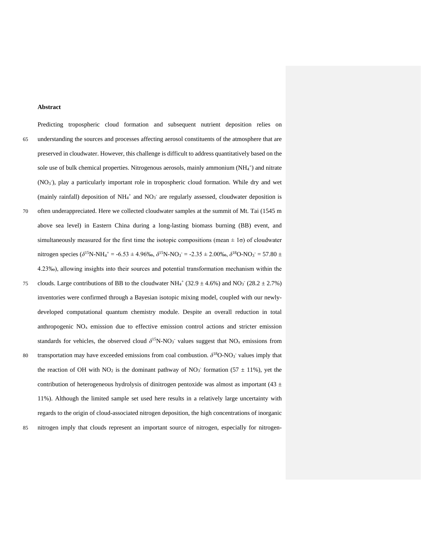#### **Abstract**

Predicting tropospheric cloud formation and subsequent nutrient deposition relies on 65 understanding the sources and processes affecting aerosol constituents of the atmosphere that are preserved in cloudwater. However, this challenge is difficult to address quantitatively based on the sole use of bulk chemical properties. Nitrogenous aerosols, mainly ammonium  $(NH<sub>4</sub><sup>+</sup>)$  and nitrate (NO<sub>3</sub>), play a particularly important role in tropospheric cloud formation. While dry and wet (mainly rainfall) deposition of  $NH_4^+$  and  $NO_3^-$  are regularly assessed, cloudwater deposition is 70 often underappreciated. Here we collected cloudwater samples at the summit of Mt. Tai (1545 m above sea level) in Eastern China during a long-lasting biomass burning (BB) event, and simultaneously measured for the first time the isotopic compositions (mean  $\pm 1\sigma$ ) of cloudwater nitrogen species ( $\delta^{15}$ N-NH<sub>4</sub><sup>+</sup> = -6.53 ± 4.96‰,  $\delta^{15}$ N-NO<sub>3</sub></sub> = -2.35 ± 2.00‰,  $\delta^{18}$ O-NO<sub>3</sub><sup>-</sup> = 57.80 ± 4.23‰), allowing insights into their sources and potential transformation mechanism within the 75 clouds. Large contributions of BB to the cloudwater NH<sub>4</sub><sup>+</sup> (32.9  $\pm$  4.6%) and NO<sub>3</sub><sup>-</sup> (28.2  $\pm$  2.7%) inventories were confirmed through a Bayesian isotopic mixing model, coupled with our newlydeveloped computational quantum chemistry module. Despite an overall reduction in total anthropogenic  $NO<sub>x</sub>$  emission due to effective emission control actions and stricter emission standards for vehicles, the observed cloud  $\delta^{15}N-NO_3$ <sup>-</sup> values suggest that  $NO_x$  emissions from 80 transportation may have exceeded emissions from coal combustion.  $δ<sup>18</sup>O-NO<sub>3</sub>$  values imply that the reaction of OH with NO<sub>2</sub> is the dominant pathway of NO<sub>3</sub><sup>-</sup> formation (57  $\pm$  11%), yet the contribution of heterogeneous hydrolysis of dinitrogen pentoxide was almost as important (43  $\pm$ 11%). Although the limited sample set used here results in a relatively large uncertainty with regards to the origin of cloud-associated nitrogen deposition, the high concentrations of inorganic 85 nitrogen imply that clouds represent an important source of nitrogen, especially for nitrogen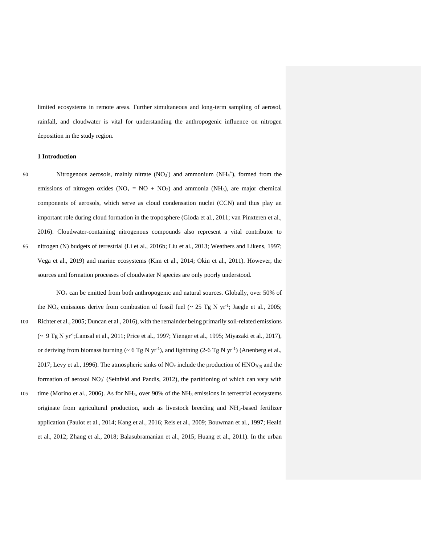limited ecosystems in remote areas. Further simultaneous and long-term sampling of aerosol, rainfall, and cloudwater is vital for understanding the anthropogenic influence on nitrogen deposition in the study region.

# **1 Introduction**

90 Nitrogenous aerosols, mainly nitrate  $(NO<sub>3</sub>)$  and ammonium  $(NH<sub>4</sub>)$ , formed from the emissions of nitrogen oxides ( $NO<sub>x</sub> = NO + NO<sub>2</sub>$ ) and ammonia ( $NH<sub>3</sub>$ ), are major chemical components of aerosols, which serve as cloud condensation nuclei (CCN) and thus play an important role during cloud formation in the troposphere (Gioda et al., 2011; van Pinxteren et al., 2016). Cloudwater-containing nitrogenous compounds also represent a vital contributor to 95 nitrogen (N) budgets of terrestrial (Li et al., 2016b; Liu et al., 2013; Weathers and Likens, 1997; Vega et al., 2019) and marine ecosystems (Kim et al., 2014; Okin et al., 2011). However, the sources and formation processes of cloudwater N species are only poorly understood.

 $NO<sub>x</sub>$  can be emitted from both anthropogenic and natural sources. Globally, over 50% of the NO<sub>x</sub> emissions derive from combustion of fossil fuel ( $\sim$  25 Tg N yr<sup>-1</sup>; Jaegle et al., 2005; 100 Richter et al., 2005; Duncan et al., 2016), with the remainder being primarily soil-related emissions (~ 9 Tg N yr-1 ;Lamsal et al., 2011; Price et al., 1997; Yienger et al., 1995; Miyazaki et al., 2017), or deriving from biomass burning ( $\sim 6 \text{ Tg N yr}^{-1}$ ), and lightning (2-6 Tg N yr<sup>-1</sup>) (Anenberg et al., 2017; Levy et al., 1996). The atmospheric sinks of  $NO_x$  include the production of  $HNO_{3(g)}$  and the formation of aerosol NO<sub>3</sub> (Seinfeld and Pandis, 2012), the partitioning of which can vary with 105 time (Morino et al., 2006). As for NH3, over 90% of the NH<sup>3</sup> emissions in terrestrial ecosystems originate from agricultural production, such as livestock breeding and NH3-based fertilizer application (Paulot et al., 2014; Kang et al., 2016; Reis et al., 2009; Bouwman et al., 1997; Heald et al., 2012; Zhang et al., 2018; Balasubramanian et al., 2015; Huang et al., 2011). In the urban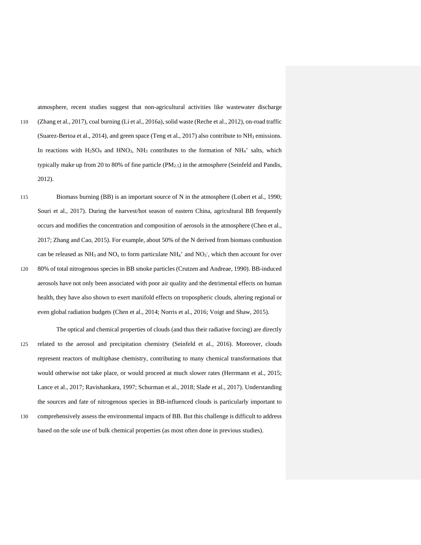atmosphere, recent studies suggest that non-agricultural activities like wastewater discharge 110 (Zhang et al., 2017), coal burning (Li et al., 2016a), solid waste (Reche et al., 2012), on-road traffic (Suarez-Bertoa et al., 2014), and green space (Teng et al., 2017) also contribute to  $NH<sub>3</sub>$  emissions. In reactions with  $H_2SO_4$  and  $HNO_3$ , NH<sub>3</sub> contributes to the formation of NH<sub>4</sub><sup>+</sup> salts, which typically make up from 20 to 80% of fine particle  $(PM_{2.5})$  in the atmosphere (Seinfeld and Pandis, 2012).

- 115 Biomass burning (BB) is an important source of N in the atmosphere (Lobert et al., 1990; Souri et al., 2017). During the harvest/hot season of eastern China, agricultural BB frequently occurs and modifies the concentration and composition of aerosols in the atmosphere (Chen et al., 2017; Zhang and Cao, 2015). For example, about 50% of the N derived from biomass combustion can be released as NH<sub>3</sub> and NO<sub>x</sub> to form particulate NH<sub>4</sub><sup>+</sup> and NO<sub>3</sub><sup>-</sup>, which then account for over 120 80% of total nitrogenous species in BB smoke particles (Crutzen and Andreae, 1990). BB-induced aerosols have not only been associated with poor air quality and the detrimental effects on human health, they have also shown to exert manifold effects on tropospheric clouds, altering regional or even global radiation budgets (Chen et al., 2014; Norris et al., 2016; Voigt and Shaw, 2015).
- The optical and chemical properties of clouds (and thus their radiative forcing) are directly 125 related to the aerosol and precipitation chemistry (Seinfeld et al., 2016). Moreover, clouds represent reactors of multiphase chemistry, contributing to many chemical transformations that would otherwise not take place, or would proceed at much slower rates (Herrmann et al., 2015; Lance et al., 2017; Ravishankara, 1997; Schurman et al., 2018; Slade et al., 2017). Understanding the sources and fate of nitrogenous species in BB-influenced clouds is particularly important to 130 comprehensively assess the environmental impacts of BB. But this challenge is difficult to address based on the sole use of bulk chemical properties (as most often done in previous studies).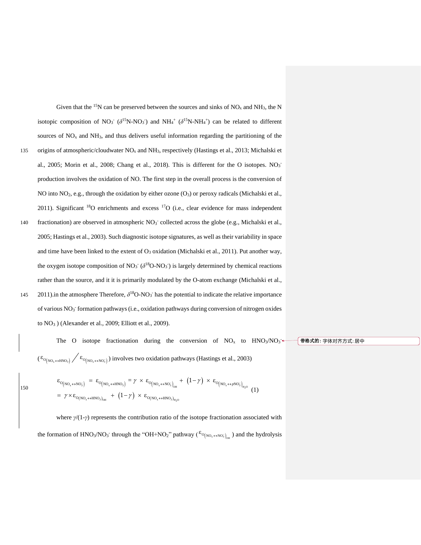Given that the <sup>15</sup>N can be preserved between the sources and sinks of  $NO<sub>x</sub>$  and  $NH<sub>3</sub>$ , the N isotopic composition of NO<sub>3</sub> ( $\delta^{15}$ N-NO<sub>3</sub>) and NH<sub>4</sub><sup>+</sup> ( $\delta^{15}$ N-NH<sub>4</sub><sup>+</sup>) can be related to different sources of  $NO<sub>x</sub>$  and  $NH<sub>3</sub>$ , and thus delivers useful information regarding the partitioning of the 135 origins of atmospheric/cloudwater  $NO<sub>x</sub>$  and  $NH<sub>3</sub>$ , respectively (Hastings et al., 2013; Michalski et al., 2005; Morin et al., 2008; Chang et al., 2018). This is different for the O isotopes.  $NO<sub>3</sub>$ production involves the oxidation of NO. The first step in the overall process is the conversion of NO into NO<sub>2</sub>, e.g., through the oxidation by either ozone  $(O_3)$  or peroxy radicals (Michalski et al., 2011). Significant  $^{18}O$  enrichments and excess  $^{17}O$  (i.e., clear evidence for mass independent 140 fractionation) are observed in atmospheric NO<sub>3</sub><sup>-</sup> collected across the globe (e.g., Michalski et al., 2005; Hastings et al., 2003). Such diagnostic isotope signatures, as well as their variability in space and time have been linked to the extent of  $O_3$  oxidation (Michalski et al., 2011). Put another way, the oxygen isotope composition of  $NO<sub>3</sub>$  ( $\delta^{18}O-NO<sub>3</sub>$ ) is largely determined by chemical reactions rather than the source, and it it is primarily modulated by the O-atom exchange (Michalski et al., 145  $2011$ ).in the atmosphere Therefore,  $\delta^{18}O\text{-}NO_3$  has the potential to indicate the relative importance of various NO<sub>3</sub> formation pathways (i.e., oxidation pathways during conversion of nitrogen oxides

The O isotope fractionation during the conversion of  $NO<sub>x</sub>$  to  $HNO<sub>3</sub>/NO<sub>3</sub>$  $(\epsilon_{o_{(NO_x \leftrightarrow HNO_3)}} / \epsilon_{o_{(NO_x \leftrightarrow NO_3)}})$  involves two oxidation pathways (Hastings et al., 2003)

**带格式的:** 字体对齐方式: 居中

$$
\begin{array}{lll}\n\epsilon_{O\left(NO_{x} \leftrightarrow NO_{3}^{-}\right)} & = & \epsilon_{O\left(NO_{x} \leftrightarrow HNO_{3}\right)} = \gamma \times \epsilon_{O\left(NO_{x} \leftrightarrow NO_{3}^{-}\right)_{OH}} + \left(1 - \gamma\right) \times \epsilon_{O\left(NO_{x} \leftrightarrow pNO_{3}^{-}\right)_{H_{2}O}} \\
& = & \gamma \times \epsilon_{O\left(NO_{x} \leftrightarrow HNO_{3}\right)_{OH}} + \left(1 - \gamma\right) \times \epsilon_{O\left(NO_{x} \leftrightarrow HNO_{3}\right)_{H_{2}O}}\n\end{array} \tag{1}
$$

to NO<sup>3</sup> ) (Alexander et al., 2009; Elliott et al., 2009).

where *γ*/(1-*γ*) represents the contribution ratio of the isotope fractionation associated with the formation of HNO<sub>3</sub>/NO<sub>3</sub> through the "OH+NO<sub>2</sub>" pathway ( ${}^{\epsilon_0}$ <sub>(NO<sub>x</sub>  $\leftrightarrow$ NO<sub>3</sub>)<sub>oH</sub>) and the hydrolysis</sub>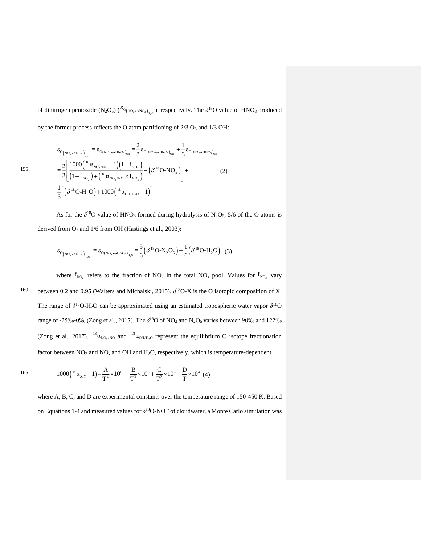of dinitrogen pentoxide  $(N_2O_5)$  ( ${}^{\epsilon_{O_{(NO_x \leftrightarrow NO_3)}}}\text{L}_{1,0}}$ ), respectively. The  $\delta^{18}O$  value of HNO<sub>3</sub> produced by the former process reflects the O atom partitioning of  $2/3$  O<sub>3</sub> and  $1/3$  OH:

$$
\varepsilon_{O(N_{O_x \leftrightarrow NO_3})_{OH}} = \varepsilon_{O(N_{O_x \leftrightarrow HNO_3})_{OH}} = \frac{2}{3} \varepsilon_{O(N_{O_2 \leftrightarrow HNO_3})_{OH}} + \frac{1}{3} \varepsilon_{O(N_{O \leftrightarrow HNO_3})_{OH}}
$$
  
\n
$$
= \frac{2}{3} \left[ \frac{1000(^{18} \alpha_{NO_2/NO} - 1)(1 - f_{NO_2})}{(1 - f_{NO_2}) + (^{18} \alpha_{NO_2/NO} \times f_{NO_2})} + (\delta^{18} O \cdot NO_x) \right] +
$$
  
\n
$$
\frac{1}{3} \left[ (\delta^{18} O \cdot H_2 O) + 1000(^{18} \alpha_{OH/H_2O} - 1) \right]
$$
 (2)

As for the  $\delta^{18}O$  value of HNO<sub>3</sub> formed during hydrolysis of N<sub>2</sub>O<sub>5</sub>, 5/6 of the O atoms is derived from  $O_3$  and  $1/6$  from OH (Hastings et al., 2003):

$$
\epsilon_{O(NO_x \leftrightarrow NO_3^-)_{H_2O}} = \epsilon_{O(NO_x \leftrightarrow HNO_3)_{H_2O}} = \frac{5}{6} (\delta^{18}O \cdot N_2O_5) + \frac{1}{6} (\delta^{18}O \cdot H_2O) \tag{3}
$$

where  $f_{NO_2}$  refers to the fraction of NO<sub>2</sub> in the total NO<sub>x</sub> pool. Values for  $f_{NO_2}$  vary <sup>160</sup> between 0.2 and 0.95 (Walters and Michalski, 2015).  $\delta^{18}$ O-X is the O isotopic composition of X. The range of  $\delta^{18}O$ -H<sub>2</sub>O can be approximated using an estimated tropospheric water vapor  $\delta^{18}O$ range of -25‰-0‰ (Zong et al., 2017). The  $\delta^{18}O$  of NO<sub>2</sub> and N<sub>2</sub>O<sub>5</sub> varies between 90‰ and 122‰ (Zong et al., 2017). <sup>18</sup> $\alpha_{NO_2/NO}$  and <sup>18</sup> $\alpha_{OH/H_2O}$  represent the equilibrium O isotope fractionation factor between NO<sub>2</sub> and NO, and OH and H<sub>2</sub>O, respectively, which is temperature-dependent

165 
$$
1000(^{\mathrm{m}}\alpha_{X/Y} - 1) = \frac{A}{T^4} \times 10^{10} + \frac{B}{T^3} \times 10^8 + \frac{C}{T^2} \times 10^6 + \frac{D}{T} \times 10^4 \tag{4}
$$

where A, B, C, and D are experimental constants over the temperature range of 150-450 K. Based on Equations 1-4 and measured values for  $\delta^{18}O-NO_3$  of cloudwater, a Monte Carlo simulation was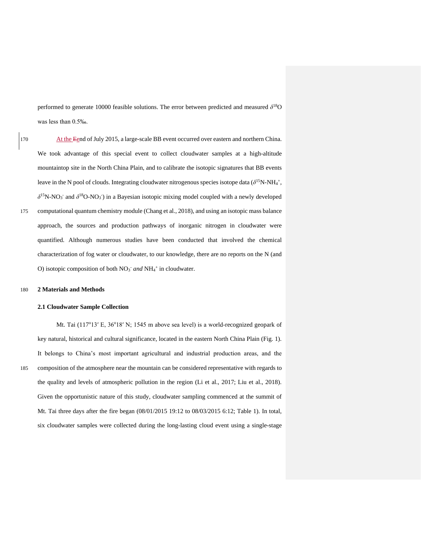performed to generate 10000 feasible solutions. The error between predicted and measured *δ* <sup>18</sup>O was less than 0.5‰.

170 At the Eend of July 2015, a large-scale BB event occurred over eastern and northern China. We took advantage of this special event to collect cloudwater samples at a high-altitude mountaintop site in the North China Plain, and to calibrate the isotopic signatures that BB events leave in the N pool of clouds. Integrating cloudwater nitrogenous species isotope data  $(\delta^{15}N\text{-}NH_4^+,$  $\delta$ <sup>15</sup>N-NO<sub>3</sub> and  $\delta$ <sup>18</sup>O-NO<sub>3</sub>) in a Bayesian isotopic mixing model coupled with a newly developed 175 computational quantum chemistry module (Chang et al., 2018), and using an isotopic mass balance approach, the sources and production pathways of inorganic nitrogen in cloudwater were quantified. Although numerous studies have been conducted that involved the chemical characterization of fog water or cloudwater, to our knowledge, there are no reports on the N (and O) isotopic composition of both NO<sub>3</sub> and NH<sub>4</sub><sup>+</sup> in cloudwater.

#### 180 **2 Materials and Methods**

# **2.1 Cloudwater Sample Collection**

Mt. Tai (117°13′ E, 36°18′ N; 1545 m above sea level) is a world-recognized geopark of key natural, historical and cultural significance, located in the eastern North China Plain (Fig. 1). It belongs to China's most important agricultural and industrial production areas, and the 185 composition of the atmosphere near the mountain can be considered representative with regards to the quality and levels of atmospheric pollution in the region (Li et al., 2017; Liu et al., 2018). Given the opportunistic nature of this study, cloudwater sampling commenced at the summit of Mt. Tai three days after the fire began (08/01/2015 19:12 to 08/03/2015 6:12; Table 1). In total, six cloudwater samples were collected during the long-lasting cloud event using a single-stage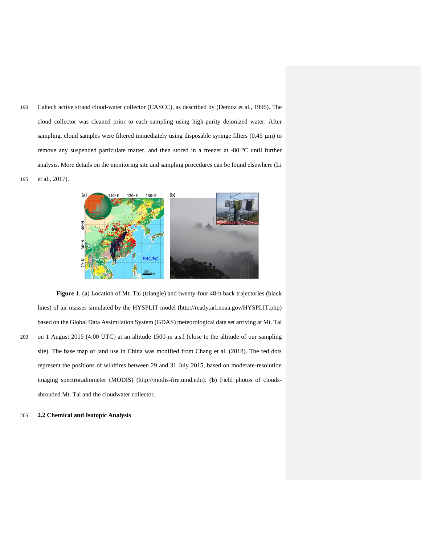190 Caltech active strand cloud-water collector (CASCC), as described by (Demoz et al., 1996). The cloud collector was cleaned prior to each sampling using high-purity deionized water. After sampling, cloud samples were filtered immediately using disposable syringe filters  $(0.45 \mu m)$  to remove any suspended particulate matter, and then stored in a freezer at -80  $^{\circ}$ C until further analysis. More details on the monitoring site and sampling procedures can be found elsewhere (Li 195 et al., 2017).



**Figure 1**. (**a**) Location of Mt. Tai (triangle) and twenty-four 48-h back trajectories (black lines) of air masses simulated by the HYSPLIT model (http://ready.arl.noaa.gov/HYSPLIT.php) based on the Global Data Assimilation System (GDAS) meteorological data set arriving at Mt. Tai 200 on 1 August 2015 (4:00 UTC) at an altitude 1500-m a.s.l (close to the altitude of our sampling site). The base map of land use in China was modified from Chang et al. (2018). The red dots represent the positions of wildfires between 29 and 31 July 2015, based on moderate-resolution imaging spectroradiometer (MODIS) (http://modis-fire.umd.edu). (**b**) Field photos of cloudsshrouded Mt. Tai and the cloudwater collector.

205 **2.2 Chemical and Isotopic Analysis**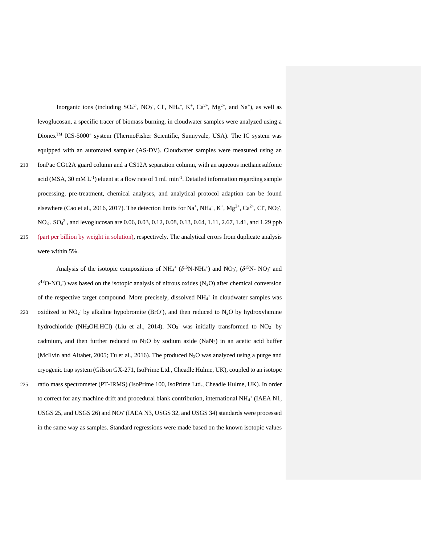Inorganic ions (including  $SO_4^2$ ,  $NO_3$ , Cl,  $NH_4$ <sup>+</sup>, K<sup>+</sup>,  $Ca^{2+}$ ,  $Mg^{2+}$ , and  $Na^+$ ), as well as levoglucosan, a specific tracer of biomass burning, in cloudwater samples were analyzed using a Dionex<sup>™</sup> ICS-5000<sup>+</sup> system (ThermoFisher Scientific, Sunnyvale, USA). The IC system was equipped with an automated sampler (AS-DV). Cloudwater samples were measured using an 210 IonPac CG12A guard column and a CS12A separation column, with an aqueous methanesulfonic acid (MSA, 30 mM  $L^{-1}$ ) eluent at a flow rate of 1 mL min<sup>-1</sup>. Detailed information regarding sample processing, pre-treatment, chemical analyses, and analytical protocol adaption can be found elsewhere (Cao et al., 2016, 2017). The detection limits for Na<sup>+</sup>, NH<sub>4</sub><sup>+</sup>, K<sup>+</sup>, Mg<sup>2+</sup>, Ca<sup>2+</sup>, Cl<sup>-</sup>, NO<sub>2</sub><sup>-</sup>, NO<sub>3</sub>, SO<sub>4</sub><sup>2</sup>, and levoglucosan are 0.06, 0.03, 0.12, 0.08, 0.13, 0.64, 1.11, 2.67, 1.41, and 1.29 ppb 215 (part per billion by weight in solution), respectively. The analytical errors from duplicate analysis were within 5%.

Analysis of the isotopic compositions of  $NH_4$ <sup>+</sup> ( $\delta^{15}N\text{-}NH_4$ <sup>+</sup>) and  $NO_3$ , ( $\delta^{15}N\text{-} NO_3$ <sup>-</sup> and  $\delta^{18}$ O-NO<sub>3</sub><sup>-</sup>) was based on the isotopic analysis of nitrous oxides (N<sub>2</sub>O) after chemical conversion of the respective target compound. More precisely, dissolved  $NH<sub>4</sub>$ <sup>+</sup> in cloudwater samples was 220 oxidized to  $NO<sub>2</sub>$  by alkaline hypobromite (BrO<sup>-</sup>), and then reduced to  $N<sub>2</sub>O$  by hydroxylamine hydrochloride (NH<sub>2</sub>OH.HCl) (Liu et al., 2014). NO<sub>3</sub> was initially transformed to NO<sub>2</sub> by cadmium, and then further reduced to  $N_2O$  by sodium azide (NaN<sub>3</sub>) in an acetic acid buffer (McIlvin and Altabet, 2005; Tu et al., 2016). The produced  $N_2O$  was analyzed using a purge and cryogenic trap system (Gilson GX-271, IsoPrime Ltd., Cheadle Hulme, UK), coupled to an isotope 225 ratio mass spectrometer (PT-IRMS) (IsoPrime 100, IsoPrime Ltd., Cheadle Hulme, UK). In order to correct for any machine drift and procedural blank contribution, international NH<sub>4</sub><sup>+</sup> (IAEA N1, USGS 25, and USGS 26) and NO<sub>3</sub> (IAEA N3, USGS 32, and USGS 34) standards were processed in the same way as samples. Standard regressions were made based on the known isotopic values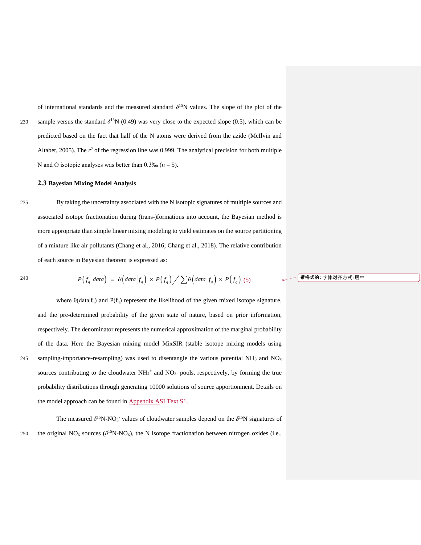of international standards and the measured standard  $\delta^{15}N$  values. The slope of the plot of the sample versus the standard  $\delta^{15}$ N (0.49) was very close to the expected slope (0.5), which can be predicted based on the fact that half of the N atoms were derived from the azide (McIlvin and Altabet, 2005). The  $r^2$  of the regression line was 0.999. The analytical precision for both multiple N and O isotopic analyses was better than 0.3‰ (*n* = 5).

# **2.3 Bayesian Mixing Model Analysis**

235 By taking the uncertainty associated with the N isotopic signatures of multiple sources and associated isotope fractionation during (trans-)formations into account, the Bayesian method is more appropriate than simple linear mixing modeling to yield estimates on the source partitioning of a mixture like air pollutants (Chang et al., 2016; Chang et al., 2018). The relative contribution of each source in Bayesian theorem is expressed as:

of each source in Bayesian theorem is expressed as:  
\n
$$
P(f_q|data) = \theta\left(data|f_q\right) \times P(f_q) / \sum \theta\left(data|f_q\right) \times P(f_q) \underline{\qquad (5)}
$$

where  $\theta$ (data|f<sub>q</sub>) and P(f<sub>q</sub>) represent the likelihood of the given mixed isotope signature, and the pre-determined probability of the given state of nature, based on prior information, respectively. The denominator represents the numerical approximation of the marginal probability of the data. Here the Bayesian mixing model MixSIR (stable isotope mixing models using 245 sampling-importance-resampling) was used to disentangle the various potential  $NH_3$  and  $NO<sub>x</sub>$ sources contributing to the cloudwater  $NH_4^+$  and  $NO_3^-$  pools, respectively, by forming the true probability distributions through generating 10000 solutions of source apportionment. Details on the model approach can be found in **Appendix ASI Text S1**.

The measured  $\delta^{15}N\text{-}NO_3$  values of cloudwater samples depend on the  $\delta^{15}N$  signatures of the original NO<sub>x</sub> sources ( $\delta^{15}N-NO_x$ ), the N isotope fractionation between nitrogen oxides (i.e.,

#### **带格式的:** 字体对齐方式: 居中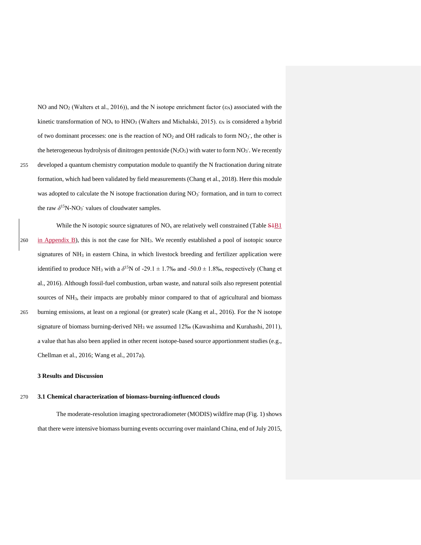NO and NO<sub>2</sub> (Walters et al., 2016)), and the N isotope enrichment factor  $(\epsilon_N)$  associated with the kinetic transformation of NO<sub>x</sub> to HNO<sub>3</sub> (Walters and Michalski, 2015).  $\varepsilon_N$  is considered a hybrid of two dominant processes: one is the reaction of  $NO<sub>2</sub>$  and OH radicals to form  $NO<sub>3</sub>$ , the other is the heterogeneous hydrolysis of dinitrogen pentoxide  $(N_2O<sub>5</sub>)$  with water to form  $NO<sub>3</sub>$ . We recently 255 developed a quantum chemistry computation module to quantify the N fractionation during nitrate formation, which had been validated by field measurements (Chang et al., 2018). Here this module was adopted to calculate the N isotope fractionation during NO<sub>3</sub> formation, and in turn to correct the raw  $\delta^{15}$ N-NO<sub>3</sub><sup>-</sup> values of cloudwater samples.

While the N isotopic source signatures of  $NO<sub>x</sub>$  are relatively well constrained (Table  $$4B1$ )  $260$  in Appendix B), this is not the case for NH<sub>3</sub>. We recently established a pool of isotopic source signatures of  $NH<sub>3</sub>$  in eastern China, in which livestock breeding and fertilizer application were identified to produce NH<sub>3</sub> with a  $\delta^{15}N$  of -29.1  $\pm$  1.7‰ and -50.0  $\pm$  1.8‰, respectively (Chang et al., 2016). Although fossil-fuel combustion, urban waste, and natural soils also represent potential sources of NH<sub>3</sub>, their impacts are probably minor compared to that of agricultural and biomass 265 burning emissions, at least on a regional (or greater) scale (Kang et al., 2016). For the N isotope signature of biomass burning-derived  $NH<sub>3</sub>$  we assumed 12‰ (Kawashima and Kurahashi, 2011), a value that has also been applied in other recent isotope-based source apportionment studies (e.g., Chellman et al., 2016; Wang et al., 2017a).

# **3 Results and Discussion**

# 270 **3.1 Chemical characterization of biomass-burning-influenced clouds**

The moderate-resolution imaging spectroradiometer (MODIS) wildfire map (Fig. 1) shows that there were intensive biomass burning events occurring over mainland China, end of July 2015,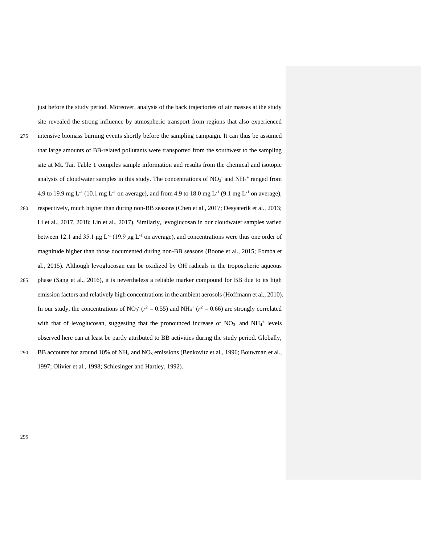just before the study period. Moreover, analysis of the back trajectories of air masses at the study site revealed the strong influence by atmospheric transport from regions that also experienced 275 intensive biomass burning events shortly before the sampling campaign. It can thus be assumed that large amounts of BB-related pollutants were transported from the southwest to the sampling site at Mt. Tai. Table 1 compiles sample information and results from the chemical and isotopic analysis of cloudwater samples in this study. The concentrations of  $NO<sub>3</sub>$  and  $NH<sub>4</sub>$ <sup>+</sup> ranged from 4.9 to 19.9 mg L<sup>-1</sup> (10.1 mg L<sup>-1</sup> on average), and from 4.9 to 18.0 mg L<sup>-1</sup> (9.1 mg L<sup>-1</sup> on average), 280 respectively, much higher than during non-BB seasons (Chen et al., 2017; Desyaterik et al., 2013; Li et al., 2017, 2018; Lin et al., 2017). Similarly, levoglucosan in our cloudwater samples varied between 12.1 and 35.1  $\mu$ g L<sup>-1</sup> (19.9  $\mu$ g L<sup>-1</sup> on average), and concentrations were thus one order of magnitude higher than those documented during non-BB seasons (Boone et al., 2015; Fomba et al., 2015). Although levoglucosan can be oxidized by OH radicals in the tropospheric aqueous 285 phase (Sang et al., 2016), it is nevertheless a reliable marker compound for BB due to its high emission factors and relatively high concentrations in the ambient aerosols (Hoffmann et al., 2010). In our study, the concentrations of NO<sub>3</sub><sup>-</sup> ( $r^2 = 0.55$ ) and NH<sub>4</sub><sup>+</sup> ( $r^2 = 0.66$ ) are strongly correlated with that of levoglucosan, suggesting that the pronounced increase of  $NO<sub>3</sub>$  and  $NH<sub>4</sub>$ <sup>+</sup> levels observed here can at least be partly attributed to BB activities during the study period. Globally, 290 BB accounts for around 10% of  $NH_3$  and  $NO_x$  emissions (Benkovitz et al., 1996; Bouwman et al., 1997; Olivier et al., 1998; Schlesinger and Hartley, 1992).

295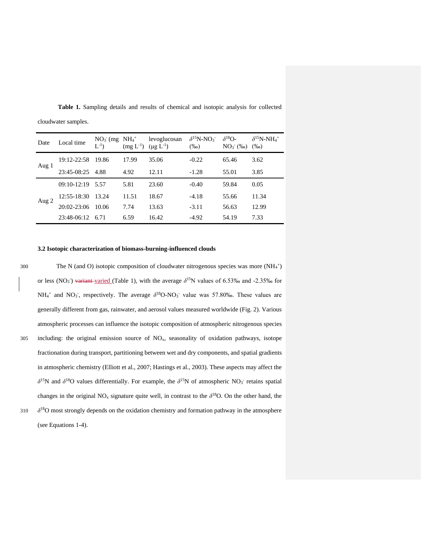| Date    | Local time      | $NO3$ (mg $NH4+$<br>$L^{-1}$ | $(mg L^{-1})$ | levoglucosan<br>$(\mu g L^{-1})$ | $\delta^{15}$ N-NO <sub>3</sub><br>$(\%0)$ | $\delta^{18}O-$<br>$NO3-$ (%o) | $\delta^{15}$ N-NH <sub>4</sub> <sup>+</sup><br>$(\%0)$ |
|---------|-----------------|------------------------------|---------------|----------------------------------|--------------------------------------------|--------------------------------|---------------------------------------------------------|
| Aug 1   | 19:12-22:58     | 19.86                        | 17.99         | 35.06                            | $-0.22$                                    | 65.46                          | 3.62                                                    |
|         | 23:45-08:25     | 4.88                         | 4.92          | 12.11                            | $-1.28$                                    | 55.01                          | 3.85                                                    |
| Aug $2$ | $09:10-12:19$   | 5.57                         | 5.81          | 23.60                            | $-0.40$                                    | 59.84                          | 0.05                                                    |
|         | 12:55-18:30     | 13.24                        | 11.51         | 18.67                            | $-4.18$                                    | 55.66                          | 11.34                                                   |
|         | $20:02 - 23:06$ | 10.06                        | 7.74          | 13.63                            | $-3.11$                                    | 56.63                          | 12.99                                                   |
|         | 23:48-06:12     | 6.71                         | 6.59          | 16.42                            | $-4.92$                                    | 54.19                          | 7.33                                                    |

**Table 1.** Sampling details and results of chemical and isotopic analysis for collected cloudwater samples.

# **3.2 Isotopic characterization of biomass-burning-influenced clouds**

300 The N (and O) isotopic composition of cloudwater nitrogenous species was more (NH<sub>4</sub><sup>+</sup>) or less (NO<sub>3</sub><sup>)</sup> variant-varied (Table 1), with the average  $\delta^{15}$ N values of 6.53‰ and -2.35‰ for  $NH_4^+$  and NO<sub>3</sub>, respectively. The average  $\delta^{18}$ O-NO<sub>3</sub> value was 57.80‰. These values are generally different from gas, rainwater, and aerosol values measured worldwide (Fig. 2). Various atmospheric processes can influence the isotopic composition of atmospheric nitrogenous species 305 including: the original emission source of NOx, seasonality of oxidation pathways, isotope fractionation during transport, partitioning between wet and dry components, and spatial gradients in atmospheric chemistry (Elliott et al., 2007; Hastings et al., 2003). These aspects may affect the  $\delta^{15}$ N and  $\delta^{18}$ O values differentially. For example, the  $\delta^{15}$ N of atmospheric NO<sub>3</sub> retains spatial changes in the original  $NO_x$  signature quite well, in contrast to the  $\delta^{18}O$ . On the other hand, the 310  $\delta^{18}$ O most strongly depends on the oxidation chemistry and formation pathway in the atmosphere (see Equations 1-4).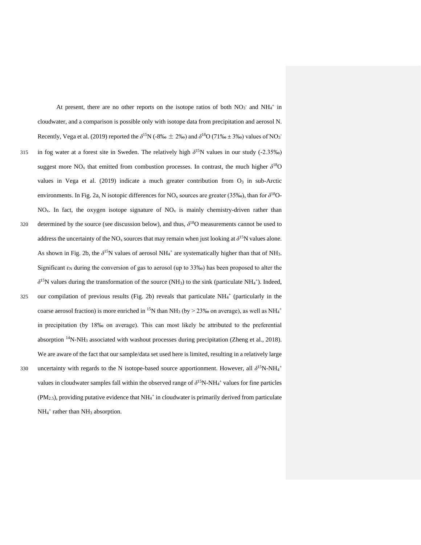At present, there are no other reports on the isotope ratios of both  $NO<sub>3</sub>$  and  $NH<sub>4</sub>$ <sup>+</sup> in cloudwater, and a comparison is possible only with isotope data from precipitation and aerosol N. Recently, Vega et al. (2019) reported the  $\delta^{15}N$  (-8‰  $\pm$  2‰) and  $\delta^{18}O$  (71‰  $\pm$  3‰) values of NO<sub>3</sub><sup>-</sup> 315 in fog water at a forest site in Sweden. The relatively high  $\delta^{15}$ N values in our study (-2.35<sup>%o</sup>) suggest more  $NO_x$  that emitted from combustion processes. In contrast, the much higher  $\delta^{18}O$ values in Vega et al. (2019) indicate a much greater contribution from  $O<sub>3</sub>$  in sub-Arctic environments. In Fig. 2a, N isotopic differences for NO<sub>x</sub> sources are greater (35‰), than for  $\delta^{18}O$ - $NO<sub>x</sub>$ . In fact, the oxygen isotope signature of  $NO<sub>x</sub>$  is mainly chemistry-driven rather than determined by the source (see discussion below), and thus,  $\delta^{18}$ O measurements cannot be used to address the uncertainty of the NO<sub>x</sub> sources that may remain when just looking at  $\delta^{15}N$  values alone. As shown in Fig. 2b, the  $\delta^{15}N$  values of aerosol NH<sub>4</sub><sup>+</sup> are systematically higher than that of NH<sub>3</sub>. Significant  $\varepsilon_N$  during the conversion of gas to aerosol (up to 33‰) has been proposed to alter the  $\delta^{15}$ N values during the transformation of the source (NH<sub>3</sub>) to the sink (particulate NH<sub>4</sub><sup>+</sup>). Indeed, 325 our compilation of previous results (Fig. 2b) reveals that particulate  $NH<sub>4</sub><sup>+</sup>$  (particularly in the coarse aerosol fraction) is more enriched in <sup>15</sup>N than NH<sub>3</sub> (by > 23‰ on average), as well as NH<sub>4</sub><sup>+</sup> in precipitation (by 18‰ on average). This can most likely be attributed to the preferential absorption  $14N-NH_3$  associated with washout processes during precipitation (Zheng et al., 2018). We are aware of the fact that our sample/data set used here is limited, resulting in a relatively large uncertainty with regards to the N isotope-based source apportionment. However, all δ<sup>15</sup>N-NH<sub>4</sub><sup>+</sup> 330 values in cloudwater samples fall within the observed range of  $\delta^{15}N\text{-}NH_4^+$  values for fine particles  $(PM<sub>2.5</sub>)$ , providing putative evidence that NH<sub>4</sub><sup>+</sup> in cloudwater is primarily derived from particulate  $NH_4^+$  rather than  $NH_3$  absorption.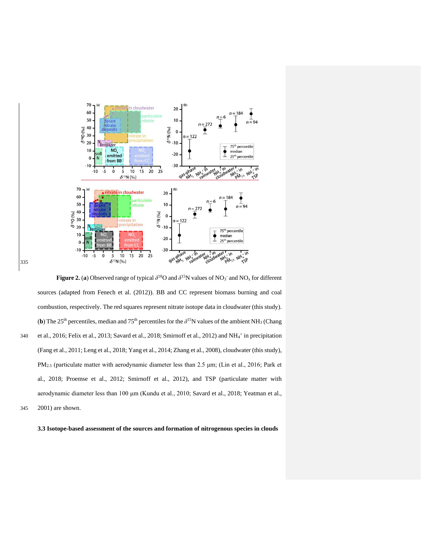

**Figure 2. (a) Observed range of typical**  $\delta^{18}$ **O and**  $\delta^{15}$ **N values of NO<sub>3</sub> and NO<sub>x</sub> for different** sources (adapted from Fenech et al. (2012)). BB and CC represent biomass burning and coal combustion, respectively. The red squares represent nitrate isotope data in cloudwater (this study). (**b**) The 25<sup>th</sup> percentiles, median and 75<sup>th</sup> percentiles for the  $\delta$ <sup>15</sup>N values of the ambient NH<sub>3</sub> (Chang 340 et al., 2016; Felix et al., 2013; Savard et al., 2018; Smirnoff et al., 2012) and  $NH_4^+$  in precipitation (Fang et al., 2011; Leng et al., 2018; Yang et al., 2014; Zhang et al., 2008), cloudwater (this study), PM2.5 (particulate matter with aerodynamic diameter less than 2.5 μm; (Lin et al., 2016; Park et al., 2018; Proemse et al., 2012; Smirnoff et al., 2012), and TSP (particulate matter with aerodynamic diameter less than 100 μm (Kundu et al., 2010; Savard et al., 2018; Yeatman et al., 345 2001) are shown.

**3.3 Isotope-based assessment of the sources and formation of nitrogenous species in clouds**

335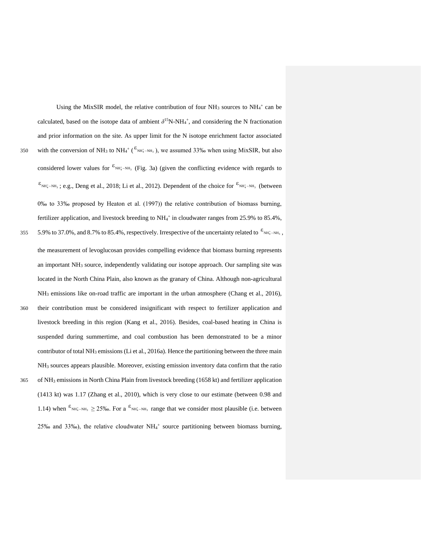calculated, based on the isotope data of ambient  $\delta^{15}N\text{-}NH_4^+$ , and considering the N fractionation and prior information on the site. As upper limit for the N isotope enrichment factor associated 350 with the conversion of NH<sub>3</sub> to NH<sub>4</sub><sup>+</sup> ( $\epsilon_{NH_4^*-H_3}$ ), we assumed 33‰ when using MixSIR, but also considered lower values for  ${}^{\epsilon_{\text{NH}_4^+-\text{NH}_3}}$  (Fig. 3a) (given the conflicting evidence with regards to  $\epsilon_{\text{NH}_4^+-\text{NH}_3}$ ; e.g., Deng et al., 2018; Li et al., 2012). Dependent of the choice for  $\epsilon_{\text{NH}_4^+-\text{NH}_3}$  (between 0‰ to 33‰ proposed by Heaton et al. (1997)) the relative contribution of biomass burning, fertilizer application, and livestock breeding to NH<sub>4</sub><sup>+</sup> in cloudwater ranges from 25.9% to 85.4%, 355 5.9% to 37.0%, and 8.7% to 85.4%, respectively. Irrespective of the uncertainty related to  $\varepsilon_{\text{NH}_4^- \text{NH}_3}$ , the measurement of levoglucosan provides compelling evidence that biomass burning represents an important NH<sup>3</sup> source, independently validating our isotope approach. Our sampling site was located in the North China Plain, also known as the granary of China. Although non-agricultural NH<sub>3</sub> emissions like on-road traffic are important in the urban atmosphere (Chang et al., 2016), 360 their contribution must be considered insignificant with respect to fertilizer application and livestock breeding in this region (Kang et al., 2016). Besides, coal-based heating in China is suspended during summertime, and coal combustion has been demonstrated to be a minor contributor of total NH<sup>3</sup> emissions (Li et al., 2016a). Hence the partitioning between the three main NH<sup>3</sup> sources appears plausible. Moreover, existing emission inventory data confirm that the ratio 365 of NH<sup>3</sup> emissions in North China Plain from livestock breeding (1658 kt) and fertilizer application (1413 kt) was 1.17 (Zhang et al., 2010), which is very close to our estimate (between 0.98 and 1.14) when  $\varepsilon_{\text{NH}_4^+-\text{NH}_3} \ge 25\%$ . For a  $\varepsilon_{\text{NH}_4^+-\text{NH}_3}$  range that we consider most plausible (i.e. between  $25\%$  and  $33\%$ ), the relative cloudwater NH<sub>4</sub><sup>+</sup> source partitioning between biomass burning,

Using the MixSIR model, the relative contribution of four  $NH<sub>3</sub>$  sources to  $NH<sub>4</sub>$ <sup>+</sup> can be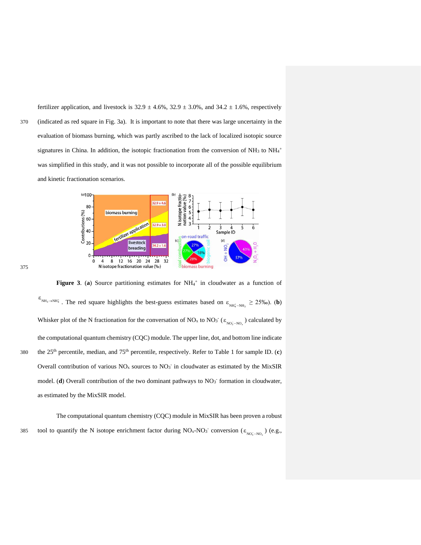fertilizer application, and livestock is  $32.9 \pm 4.6\%$ ,  $32.9 \pm 3.0\%$ , and  $34.2 \pm 1.6\%$ , respectively 370 (indicated as red square in Fig. 3a). It is important to note that there was large uncertainty in the evaluation of biomass burning, which was partly ascribed to the lack of localized isotopic source signatures in China. In addition, the isotopic fractionation from the conversion of  $NH<sub>3</sub>$  to  $NH<sub>4</sub>$ <sup>+</sup> was simplified in this study, and it was not possible to incorporate all of the possible equilibrium and kinetic fractionation scenarios.



375

Figure 3. (a) Source partitioning estimates for  $NH<sub>4</sub><sup>+</sup>$  in cloudwater as a function of  $\varepsilon_{NH_3\to NH_4^+}$ . The red square highlights the best-guess estimates based on  $\varepsilon_{NH_4^+-NH_3} \ge 25\%$ <sub>0</sub>). (**b**) Whisker plot of the N fractionation for the conversation of NO<sub>x</sub> to NO<sub>3</sub><sup>-</sup> ( $\varepsilon_{NO_3^--NO_x}$ ) calculated by the computational quantum chemistry (CQC) module. The upper line, dot, and bottom line indicate the 25th percentile, median, and 75th 380 percentile, respectively. Refer to Table 1 for sample ID. (**c**) Overall contribution of various  $NO<sub>x</sub>$  sources to  $NO<sub>3</sub>$  in cloudwater as estimated by the MixSIR model. (d) Overall contribution of the two dominant pathways to NO<sub>3</sub> formation in cloudwater, as estimated by the MixSIR model.

The computational quantum chemistry (CQC) module in MixSIR has been proven a robust 385 tool to quantify the N isotope enrichment factor during  $NO_x$ - $NO_3$ <sup>-</sup> conversion ( $\epsilon_{NO_3^--NO_x}$ ) (e.g.,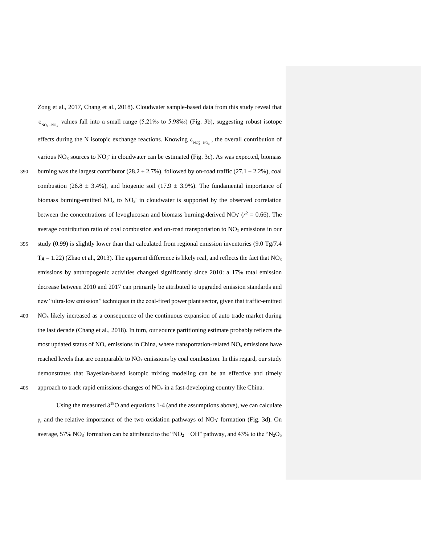$\varepsilon_{\text{NO}_3^- \text{-NO}_r}$  values fall into a small range (5.21‰ to 5.98‰) (Fig. 3b), suggesting robust isotope effects during the N isotopic exchange reactions. Knowing  $\varepsilon_{NO_3^- \to NO_3^-}$ , the overall contribution of various  $NO_x$  sources to  $NO_3^-$  in cloudwater can be estimated (Fig. 3c). As was expected, biomass 390 burning was the largest contributor (28.2  $\pm$  2.7%), followed by on-road traffic (27.1  $\pm$  2.2%), coal combustion (26.8  $\pm$  3.4%), and biogenic soil (17.9  $\pm$  3.9%). The fundamental importance of biomass burning-emitted  $NO<sub>x</sub>$  to  $NO<sub>3</sub>$  in cloudwater is supported by the observed correlation between the concentrations of levoglucosan and biomass burning-derived  $NO<sub>3</sub>$ <sup>-</sup> ( $r<sup>2</sup> = 0.66$ ). The average contribution ratio of coal combustion and on-road transportation to  $NO<sub>x</sub>$  emissions in our 395 study (0.99) is slightly lower than that calculated from regional emission inventories (9.0 Tg/7.4  $Tg = 1.22$ ) (Zhao et al., 2013). The apparent difference is likely real, and reflects the fact that NO<sub>x</sub> emissions by anthropogenic activities changed significantly since 2010: a 17% total emission decrease between 2010 and 2017 can primarily be attributed to upgraded emission standards and new "ultra-low emission" techniques in the coal-fired power plant sector, given that traffic-emitted  $400$  NO<sub>x</sub> likely increased as a consequence of the continuous expansion of auto trade market during the last decade (Chang et al., 2018). In turn, our source partitioning estimate probably reflects the most updated status of  $NO<sub>x</sub>$  emissions in China, where transportation-related  $NO<sub>x</sub>$  emissions have reached levels that are comparable to  $NO<sub>x</sub>$  emissions by coal combustion. In this regard, our study demonstrates that Bayesian-based isotopic mixing modeling can be an effective and timely 405 approach to track rapid emissions changes of  $NO<sub>x</sub>$  in a fast-developing country like China. *x*

Zong et al., 2017, Chang et al., 2018). Cloudwater sample-based data from this study reveal that

Using the measured  $\delta^{18}O$  and equations 1-4 (and the assumptions above), we can calculate *γ*, and the relative importance of the two oxidation pathways of NO<sub>3</sub><sup>-</sup> formation (Fig. 3d). On average, 57%  $NO_3$  formation can be attributed to the " $NO_2 + OH$ " pathway, and 43% to the " $N_2O_5$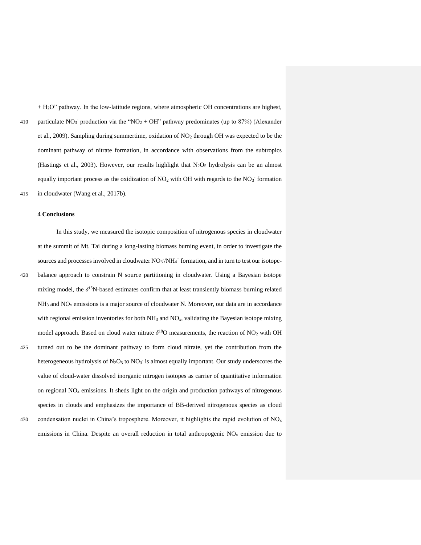$+ H<sub>2</sub>O$ " pathway. In the low-latitude regions, where atmospheric OH concentrations are highest, 410 particulate  $NO_3$ <sup>-</sup> production via the "NO<sub>2</sub> + OH" pathway predominates (up to 87%) (Alexander et al., 2009). Sampling during summertime, oxidation of NO<sub>2</sub> through OH was expected to be the dominant pathway of nitrate formation, in accordance with observations from the subtropics (Hastings et al., 2003). However, our results highlight that  $N_2O<sub>5</sub>$  hydrolysis can be an almost equally important process as the oxidization of  $NO<sub>2</sub>$  with OH with regards to the  $NO<sub>3</sub>$  formation 415 in cloudwater (Wang et al., 2017b).

#### **4 Conclusions**

In this study, we measured the isotopic composition of nitrogenous species in cloudwater at the summit of Mt. Tai during a long-lasting biomass burning event, in order to investigate the sources and processes involved in cloudwater  $NO<sub>3</sub>/NH<sub>4</sub>$ <sup>+</sup> formation, and in turn to test our isotope-420 balance approach to constrain N source partitioning in cloudwater. Using a Bayesian isotope mixing model, the δ<sup>15</sup>N-based estimates confirm that at least transiently biomass burning related  $NH<sub>3</sub>$  and  $NO<sub>x</sub>$  emissions is a major source of cloudwater N. Moreover, our data are in accordance with regional emission inventories for both  $NH<sub>3</sub>$  and  $NO<sub>x</sub>$ , validating the Bayesian isotope mixing model approach. Based on cloud water nitrate  $\delta^{18}O$  measurements, the reaction of NO<sub>2</sub> with OH 425 turned out to be the dominant pathway to form cloud nitrate, yet the contribution from the heterogeneous hydrolysis of  $N_2O_5$  to  $NO_3^-$  is almost equally important. Our study underscores the value of cloud-water dissolved inorganic nitrogen isotopes as carrier of quantitative information on regional  $NO<sub>x</sub>$  emissions. It sheds light on the origin and production pathways of nitrogenous species in clouds and emphasizes the importance of BB-derived nitrogenous species as cloud 430 condensation nuclei in China's troposphere. Moreover, it highlights the rapid evolution of  $NO<sub>x</sub>$ emissions in China. Despite an overall reduction in total anthropogenic  $NO<sub>x</sub>$  emission due to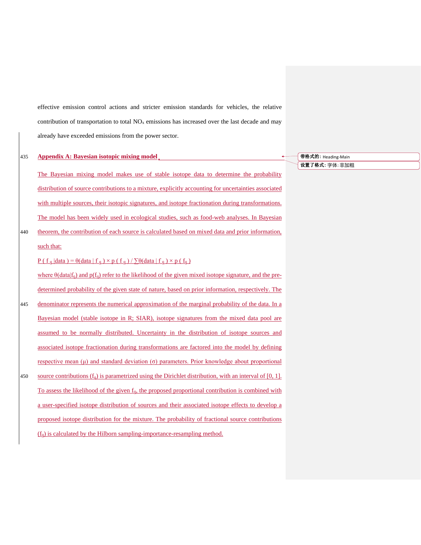effective emission control actions and stricter emission standards for vehicles, the relative contribution of transportation to total  $NO<sub>x</sub>$  emissions has increased over the last decade and may already have exceeded emissions from the power sector.

# 435 **Appendix A: Bayesian isotopic mixing model**

such that:

The Bayesian mixing model makes use of stable isotope data to determine the probability distribution of source contributions to a mixture, explicitly accounting for uncertainties associated with multiple sources, their isotopic signatures, and isotope fractionation during transformations. The model has been widely used in ecological studies, such as food-web analyses. In Bayesian 440 theorem, the contribution of each source is calculated based on mixed data and prior information,

# $P(f_q | data) = \theta(data | f_q) \times p(f_q) / \sum \theta(data | f_q) \times p(f_q)$

where  $\theta$ (data|f<sub>q</sub>) and p(f<sub>q</sub>) refer to the likelihood of the given mixed isotope signature, and the predetermined probability of the given state of nature, based on prior information, respectively. The 445 denominator represents the numerical approximation of the marginal probability of the data. In a Bayesian model (stable isotope in R; SIAR), isotope signatures from the mixed data pool are assumed to be normally distributed. Uncertainty in the distribution of isotope sources and associated isotope fractionation during transformations are factored into the model by defining respective mean  $(μ)$  and standard deviation  $(σ)$  parameters. Prior knowledge about proportional 450 source contributions  $(f_0)$  is parametrized using the Dirichlet distribution, with an interval of [0, 1]. To assess the likelihood of the given  $f_q$ , the proposed proportional contribution is combined with a user-specified isotope distribution of sources and their associated isotope effects to develop a proposed isotope distribution for the mixture. The probability of fractional source contributions  $(f_q)$  is calculated by the Hilborn sampling-importance-resampling method.

# **带格式的:** Heading-Main

**设置了格式:** 字体: 非加粗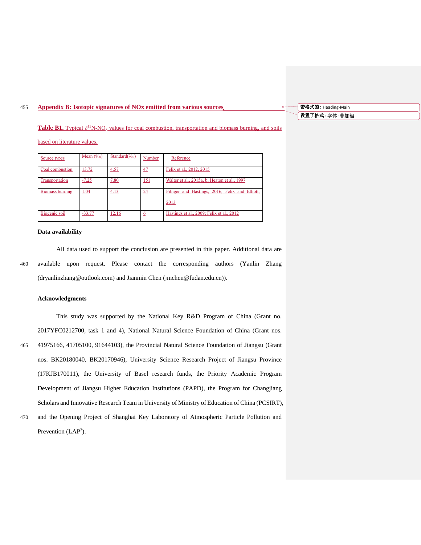# 455 **Appendix B: Isotopic signatures of NOx emitted from various sources**

**Table B1.** Typical  $\delta^{15}$ N-NO<sub>x</sub> values for coal combustion, transportation and biomass burning, and soils

# based on literature values.

| Source types    | Mean $(\%_0)$ | Standard $(\%_0)$ | Number          | Reference                                      |
|-----------------|---------------|-------------------|-----------------|------------------------------------------------|
| Coal combustion | 13.72         | 4.57              | 47              | Felix et al., 2012, 2015                       |
| Transportation  | $-7.25$       | 7.80              | <u> 151</u>     | Walter et al., 2015a, b; Heaton et al., 1997   |
| Biomass burning | 1.04          | 4.13              | $\overline{24}$ | Fibiger and Hastings, 2016; Felix and Elliott, |
|                 |               |                   |                 | 2013                                           |
| Biogenic soil   | $-33.77$      | 12.16             | <u>6</u>        | Hastings et al., 2009; Felix et al., 2012      |

# **Data availability**

All data used to support the conclusion are presented in this paper. Additional data are 460 available upon request. Please contact the corresponding authors (Yanlin Zhang (dryanlinzhang@outlook.com) and Jianmin Chen (jmchen@fudan.edu.cn)).

# **Acknowledgments**

This study was supported by the National Key R&D Program of China (Grant no. 2017YFC0212700, task 1 and 4), National Natural Science Foundation of China (Grant nos. 465 41975166, 41705100, 91644103), the Provincial Natural Science Foundation of Jiangsu (Grant nos. BK20180040, BK20170946), University Science Research Project of Jiangsu Province (17KJB170011), the University of Basel research funds, the Priority Academic Program Development of Jiangsu Higher Education Institutions (PAPD), the Program for Changjiang Scholars and Innovative Research Team in University of Ministry of Education of China (PCSIRT),

470 and the Opening Project of Shanghai Key Laboratory of Atmospheric Particle Pollution and Prevention  $(LAP<sup>3</sup>)$ .

**带格式的:** Heading-Main **设置了格式:** 字体: 非加粗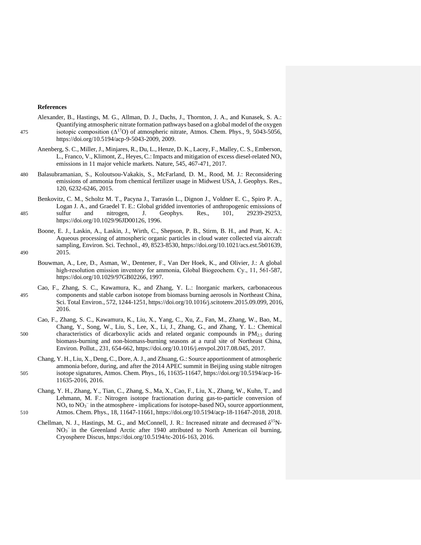#### **References**

- Alexander, B., Hastings, M. G., Allman, D. J., Dachs, J., Thornton, J. A., and Kunasek, S. A.: Quantifying atmospheric nitrate formation pathways based on a global model of the oxygen 475 isotopic composition  $(\Delta^{17}O)$  of atmospheric nitrate, Atmos. Chem. Phys., 9, 5043-5056, https://doi.org/10.5194/acp-9-5043-2009, 2009.
	- Anenberg, S. C., Miller, J., Minjares, R., Du, L., Henze, D. K., Lacey, F., Malley, C. S., Emberson, L., Franco, V., Klimont, Z., Heyes, C.: Impacts and mitigation of excess diesel-related  $NO<sub>x</sub>$ emissions in 11 major vehicle markets. Nature, 545, 467-471, 2017.
- 480 Balasubramanian, S., Koloutsou-Vakakis, S., McFarland, D. M., Rood, M. J.: Reconsidering emissions of ammonia from chemical fertilizer usage in Midwest USA, J. Geophys. Res., 120, 6232-6246, 2015.
- Benkovitz, C. M., Scholtz M. T., Pacyna J., Tarrasón L., Dignon J., Voldner E. C., Spiro P. A., Logan J. A., and Graedel T. E.: Global gridded inventories of anthropogenic emissions of 485 sulfur and nitrogen, J. Geophys. Res., 101, 29239-29253, https://doi.org/10.1029/96JD00126, 1996.
- Boone, E. J., Laskin, A., Laskin, J., Wirth, C., Shepson, P. B., Stirm, B. H., and Pratt, K. A.: Aqueous processing of atmospheric organic particles in cloud water collected via aircraft sampling, Environ. Sci. Technol., 49, 8523-8530, https://doi.org/10.1021/acs.est.5b01639, 490 2015.
	- Bouwman, A., Lee, D., Asman, W., Dentener, F., Van Der Hoek, K., and Olivier, J.: A global high-resolution emission inventory for ammonia, Global Biogeochem. Cy., 11, 561-587, https://doi.org/10.1029/97GB02266, 1997.
- Cao, F., Zhang, S. C., Kawamura, K., and Zhang, Y. L.: Inorganic markers, carbonaceous 495 components and stable carbon isotope from biomass burning aerosols in Northeast China, Sci. Total Environ., 572, 1244-1251, https://doi.org/10.1016/j.scitotenv.2015.09.099, 2016, 2016.
- Cao, F., Zhang, S. C., Kawamura, K., Liu, X., Yang, C., Xu, Z., Fan, M., Zhang, W., Bao, M., Chang, Y., Song, W., Liu, S., Lee, X., Li, J., Zhang, G., and Zhang, Y. L.: Chemical 500 characteristics of dicarboxylic acids and related organic compounds in PM2.5 during biomass-burning and non-biomass-burning seasons at a rural site of Northeast China, Environ. Pollut., 231, 654-662, https://doi.org/10.1016/j.envpol.2017.08.045, 2017.
- Chang, Y. H., Liu, X., Deng, C., Dore, A. J., and Zhuang, G.: Source apportionment of atmospheric ammonia before, during, and after the 2014 APEC summit in Beijing using stable nitrogen 505 isotope signatures, Atmos. Chem. Phys., 16, 11635-11647, https://doi.org/10.5194/acp-16- 11635-2016, 2016.
- Chang, Y. H., Zhang, Y., Tian, C., Zhang, S., Ma, X., Cao, F., Liu, X., Zhang, W., Kuhn, T., and Lehmann, M. F.: Nitrogen isotope fractionation during gas-to-particle conversion of  $NO<sub>x</sub>$  to  $NO<sub>3</sub><sup>-</sup>$  in the atmosphere - implications for isotope-based  $NO<sub>x</sub>$  source apportionment, 510 Atmos. Chem. Phys., 18, 11647-11661, https://doi.org/10.5194/acp-18-11647-2018, 2018.
	- Chellman, N. J., Hastings, M. G., and McConnell, J. R.: Increased nitrate and decreased  $\delta^{15}N$ -NO<sub>3</sub><sup>-</sup> in the Greenland Arctic after 1940 attributed to North American oil burning, Cryosphere Discus, https://doi.org/10.5194/tc-2016-163, 2016.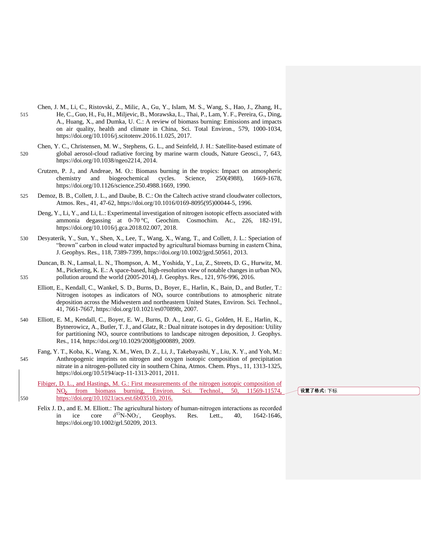- Chen, J. M., Li, C., Ristovski, Z., Milic, A., Gu, Y., Islam, M. S., Wang, S., Hao, J., Zhang, H., 515 He, C., Guo, H., Fu, H., Miljevic, B., Morawska, L., Thai, P., Lam, Y. F., Pereira, G., Ding, A., Huang, X., and Dumka, U. C.: A review of biomass burning: Emissions and impacts on air quality, health and climate in China, Sci. Total Environ., 579, 1000-1034, https://doi.org/10.1016/j.scitotenv.2016.11.025, 2017.
- Chen, Y. C., Christensen, M. W., Stephens, G. L., and Seinfeld, J. H.: Satellite-based estimate of 520 global aerosol-cloud radiative forcing by marine warm clouds, Nature Geosci., 7, 643, https://doi.org/10.1038/ngeo2214, 2014.
	- Crutzen, P. J., and Andreae, M. O.: Biomass burning in the tropics: Impact on atmospheric chemistry and biogeochemical cycles. Science, 250(4988), 1669-1678, https://doi.org/10.1126/science.250.4988.1669, 1990.
- 525 Demoz, B. B., Collett, J. L., and Daube, B. C.: On the Caltech active strand cloudwater collectors, Atmos. Res., 41, 47-62, https://doi.org/10.1016/0169-8095(95)00044-5, 1996.
	- Deng, Y., Li, Y., and Li, L.: Experimental investigation of nitrogen isotopic effects associated with ammonia degassing at 0-70 °C, Geochim. Cosmochim. Ac., 226, 182-191, https://doi.org/10.1016/j.gca.2018.02.007, 2018.
- 530 Desyaterik, Y., Sun, Y., Shen, X., Lee, T., Wang, X., Wang, T., and Collett, J. L.: Speciation of "brown" carbon in cloud water impacted by agricultural biomass burning in eastern China, J. Geophys. Res., 118, 7389-7399, https://doi.org/10.1002/jgrd.50561, 2013.
- Duncan, B. N., Lamsal, L. N., Thompson, A. M., Yoshida, Y., Lu, Z., Streets, D. G., Hurwitz, M. M., Pickering, K. E.: A space-based, high-resolution view of notable changes in urban  $NO<sub>x</sub>$ 535 pollution around the world (2005-2014), J. Geophys. Res., 121, 976-996, 2016.
	- Elliott, E., Kendall, C., Wankel, S. D., Burns, D., Boyer, E., Harlin, K., Bain, D., and Butler, T.: Nitrogen isotopes as indicators of  $NO<sub>x</sub>$  source contributions to atmospheric nitrate deposition across the Midwestern and northeastern United States, Environ. Sci. Technol., 41, 7661-7667, https://doi.org/10.1021/es070898t, 2007.
- 540 Elliott, E. M., Kendall, C., Boyer, E. W., Burns, D. A., Lear, G. G., Golden, H. E., Harlin, K., Bytnerowicz, A., Butler, T. J., and Glatz, R.: Dual nitrate isotopes in dry deposition: Utility for partitioning  $NO<sub>x</sub>$  source contributions to landscape nitrogen deposition, J. Geophys. Res., 114, https://doi.org/10.1029/2008jg000889, 2009.
- Fang, Y. T., Koba, K., Wang, X. M., Wen, D. Z., Li, J., Takebayashi, Y., Liu, X. Y., and Yoh, M.: 545 Anthropogenic imprints on nitrogen and oxygen isotopic composition of precipitation nitrate in a nitrogen-polluted city in southern China, Atmos. Chem. Phys., 11, 1313-1325, https://doi.org/10.5194/acp-11-1313-2011, 2011.
- Fibiger, D. L., and Hastings, M. G.: First measurements of the nitrogen isotopic composition of NO<sup>x</sup> from biomass burning, Environ. Sci. Technol., 50, 11569-11574, 550 https://doi.org/10.1021/acs.est.6b03510, 2016.

**设置了格式:** 下标

Felix J. D., and E. M. Elliott.: The agricultural history of human-nitrogen interactions as recorded in ice core  $^{15}N$ - $NO<sub>3</sub>$ Geophys. Res. Lett., 40, 1642-1646, https://doi.org/10.1002/grl.50209, 2013.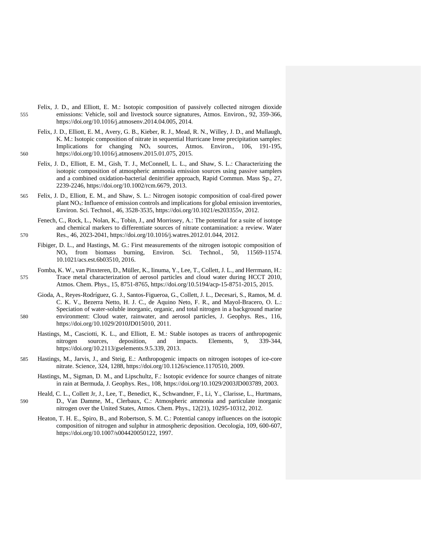- Felix, J. D., and Elliott, E. M.: Isotopic composition of passively collected nitrogen dioxide 555 emissions: Vehicle, soil and livestock source signatures, Atmos. Environ., 92, 359-366, https://doi.org/10.1016/j.atmosenv.2014.04.005, 2014.
- Felix, J. D., Elliott, E. M., Avery, G. B., Kieber, R. J., Mead, R. N., Willey, J. D., and Mullaugh, K. M.: Isotopic composition of nitrate in sequential Hurricane Irene precipitation samples: Implications for changing  $NO<sub>x</sub>$  sources, Atmos. Environ., 106, 191-195, 560 https://doi.org/10.1016/j.atmosenv.2015.01.075, 2015.
	- Felix, J. D., Elliott, E. M., Gish, T. J., McConnell, L. L., and Shaw, S. L.: Characterizing the isotopic composition of atmospheric ammonia emission sources using passive samplers and a combined oxidation-bacterial denitrifier approach, Rapid Commun. Mass Sp., 27, 2239-2246, https://doi.org/10.1002/rcm.6679, 2013.
- 565 Felix, J. D., Elliott, E. M., and Shaw, S. L.: Nitrogen isotopic composition of coal-fired power plant NOx: Influence of emission controls and implications for global emission inventories, Environ. Sci. Technol., 46, 3528-3535, https://doi.org/10.1021/es203355v, 2012.

Fenech, C., Rock, L., Nolan, K., Tobin, J., and Morrissey, A.: The potential for a suite of isotope and chemical markers to differentiate sources of nitrate contamination: a review. Water 570 Res., 46, 2023-2041, https://doi.org/10.1016/j.watres.2012.01.044, 2012.

- Fibiger, D. L., and Hastings, M. G.: First measurements of the nitrogen isotopic composition of NO<sup>x</sup> from biomass burning, Environ. Sci. Technol., 50, 11569-11574. 10.1021/acs.est.6b03510, 2016.
- Fomba, K. W., van Pinxteren, D., Müller, K., Iinuma, Y., Lee, T., Collett, J. L., and Herrmann, H.: 575 Trace metal characterization of aerosol particles and cloud water during HCCT 2010, Atmos. Chem. Phys., 15, 8751-8765, https://doi.org/10.5194/acp-15-8751-2015, 2015.
- Gioda, A., Reyes-Rodríguez, G. J., Santos-Figueroa, G., Collett, J. L., Decesari, S., Ramos, M. d. C. K. V., Bezerra Netto, H. J. C., de Aquino Neto, F. R., and Mayol-Bracero, O. L.: Speciation of water-soluble inorganic, organic, and total nitrogen in a background marine 580 environment: Cloud water, rainwater, and aerosol particles, J. Geophys. Res., 116, https://doi.org/10.1029/2010JD015010, 2011.
	- Hastings, M., Casciotti, K. L., and Elliott, E. M.: Stable isotopes as tracers of anthropogenic nitrogen sources, deposition, and impacts. Elements, 9, 339-344, https://doi.org/10.2113/gselements.9.5.339, 2013.
- 585 Hastings, M., Jarvis, J., and Steig, E.: Anthropogenic impacts on nitrogen isotopes of ice-core nitrate. Science, 324, 1288, https://doi.org/10.1126/science.1170510, 2009.
	- Hastings, M., Sigman, D. M., and Lipschultz, F.: Isotopic evidence for source changes of nitrate in rain at Bermuda, J. Geophys. Res., 108, https://doi.org/10.1029/2003JD003789, 2003.
- Heald, C. L., Collett Jr, J., Lee, T., Benedict, K., Schwandner, F., Li, Y., Clarisse, L., Hurtmans, 590 D., Van Damme, M., Clerbaux, C.: Atmospheric ammonia and particulate inorganic nitrogen over the United States, Atmos. Chem. Phys., 12(21), 10295-10312, 2012.
	- Heaton, T. H. E., Spiro, B., and Robertson, S. M. C.: Potential canopy influences on the isotopic composition of nitrogen and sulphur in atmospheric deposition. Oecologia, 109, 600-607, https://doi.org/10.1007/s004420050122, 1997.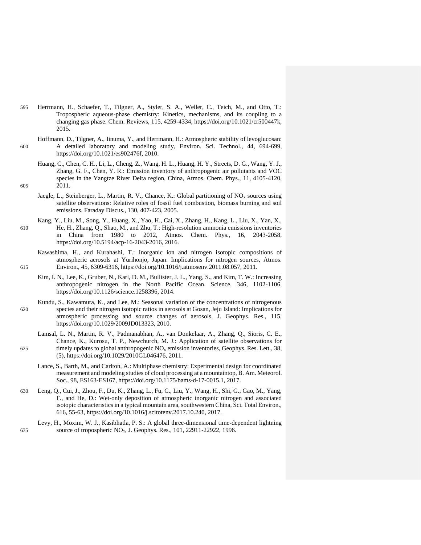- 595 Herrmann, H., Schaefer, T., Tilgner, A., Styler, S. A., Weller, C., Teich, M., and Otto, T.: Tropospheric aqueous-phase chemistry: Kinetics, mechanisms, and its coupling to a changing gas phase. Chem. Reviews, 115, 4259-4334, https://doi.org/10.1021/cr500447k, 2015.
- Hoffmann, D., Tilgner, A., Iinuma, Y., and Herrmann, H.: Atmospheric stability of levoglucosan: 600 A detailed laboratory and modeling study, Environ. Sci. Technol., 44, 694-699, https://doi.org/10.1021/es902476f, 2010.
- Huang, C., Chen, C. H., Li, L., Cheng, Z., Wang, H. L., Huang, H. Y., Streets, D. G., Wang, Y. J., Zhang, G. F., Chen, Y. R.: Emission inventory of anthropogenic air pollutants and VOC species in the Yangtze River Delta region, China, Atmos. Chem. Phys., 11, 4105-4120, 605 2011.
	- Jaegle, L., Steinberger, L., Martin, R. V., Chance, K.: Global partitioning of NO<sub>x</sub> sources using satellite observations: Relative roles of fossil fuel combustion, biomass burning and soil emissions. Faraday Discus., 130, 407-423, 2005.
- Kang, Y., Liu, M., Song, Y., Huang, X., Yao, H., Cai, X., Zhang, H., Kang, L., Liu, X., Yan, X., 610 He, H., Zhang, Q., Shao, M., and Zhu, T.: High-resolution ammonia emissions inventories in China from 1980 to 2012, Atmos. Chem. Phys., 16, 2043-2058, https://doi.org/10.5194/acp-16-2043-2016, 2016.
- Kawashima, H., and Kurahashi, T.: Inorganic ion and nitrogen isotopic compositions of atmospheric aerosols at Yurihonjo, Japan: Implications for nitrogen sources, Atmos. 615 Environ., 45, 6309-6316, https://doi.org/10.1016/j.atmosenv.2011.08.057, 2011.
	- Kim, I. N., Lee, K., Gruber, N., Karl, D. M., Bullister, J. L., Yang, S., and Kim, T. W.: Increasing anthropogenic nitrogen in the North Pacific Ocean. Science, 346, 1102-1106, https://doi.org/10.1126/science.1258396, 2014.
- Kundu, S., Kawamura, K., and Lee, M.: Seasonal variation of the concentrations of nitrogenous 620 species and their nitrogen isotopic ratios in aerosols at Gosan, Jeju Island: Implications for atmospheric processing and source changes of aerosols, J. Geophys. Res., 115, https://doi.org/10.1029/2009JD013323, 2010.
- Lamsal, L. N., Martin, R. V., Padmanabhan, A., van Donkelaar, A., Zhang, Q., Sioris, C. E., Chance, K., Kurosu, T. P., Newchurch, M. J.: Application of satellite observations for 625 timely updates to global anthropogenic  $NO<sub>x</sub>$  emission inventories, Geophys. Res. Lett., 38, (5), https://doi.org/10.1029/2010GL046476, 2011.
	- Lance, S., Barth, M., and Carlton, A.: Multiphase chemistry: Experimental design for coordinated measurement and modeling studies of cloud processing at a mountaintop, B. Am. Meteorol. Soc., 98, ES163-ES167, https://doi.org/10.1175/bams-d-17-0015.1, 2017.
- 630 Leng, Q., Cui, J., Zhou, F., Du, K., Zhang, L., Fu, C., Liu, Y., Wang, H., Shi, G., Gao, M., Yang, F., and He, D.: Wet-only deposition of atmospheric inorganic nitrogen and associated isotopic characteristics in a typical mountain area, southwestern China, Sci. Total Environ., 616, 55-63, https://doi.org/10.1016/j.scitotenv.2017.10.240, 2017.
- Levy, H., Moxim, W. J., Kasibhatla, P. S.: A global three-dimensional time-dependent lightning 635 source of tropospheric NOx, J. Geophys. Res., 101, 22911-22922, 1996.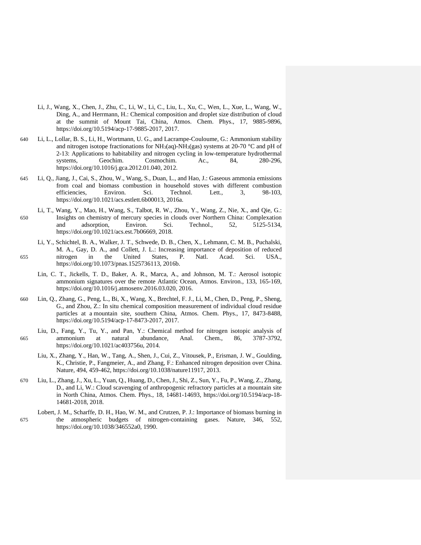- Li, J., Wang, X., Chen, J., Zhu, C., Li, W., Li, C., Liu, L., Xu, C., Wen, L., Xue, L., Wang, W., Ding, A., and Herrmann, H.: Chemical composition and droplet size distribution of cloud at the summit of Mount Tai, China, Atmos. Chem. Phys., 17, 9885-9896, https://doi.org/10.5194/acp-17-9885-2017, 2017.
- 640 Li, L., Lollar, B. S., Li, H., Wortmann, U. G., and Lacrampe-Couloume, G.: Ammonium stability and nitrogen isotope fractionations for  $NH<sub>3</sub>(aq)-NH<sub>3</sub>(gas)$  systems at 20-70 °C and pH of 2-13: Applications to habitability and nitrogen cycling in low-temperature hydrothermal systems, Geochim. Cosmochim. Ac., 84, 280-296, https://doi.org/10.1016/j.gca.2012.01.040, 2012.
- 645 Li, Q., Jiang, J., Cai, S., Zhou, W., Wang, S., Duan, L., and Hao, J.: Gaseous ammonia emissions from coal and biomass combustion in household stoves with different combustion efficiencies, Environ. Sci. Technol. Lett., 3, 98-103, https://doi.org/10.1021/acs.estlett.6b00013, 2016a.
- Li, T., Wang, Y., Mao, H., Wang, S., Talbot, R. W., Zhou, Y., Wang, Z., Nie, X., and Qie, G.: 650 Insights on chemistry of mercury species in clouds over Northern China: Complexation and adsorption, Environ. Sci. Technol., 52, 5125-5134, https://doi.org/10.1021/acs.est.7b06669, 2018.
- Li, Y., Schichtel, B. A., Walker, J. T., Schwede, D. B., Chen, X., Lehmann, C. M. B., Puchalski, M. A., Gay, D. A., and Collett, J. L.: Increasing importance of deposition of reduced 655 nitrogen in the United States, P. Natl. Acad. Sci. USA., https://doi.org/10.1073/pnas.1525736113, 2016b.
	- Lin, C. T., Jickells, T. D., Baker, A. R., Marca, A., and Johnson, M. T.: Aerosol isotopic ammonium signatures over the remote Atlantic Ocean, Atmos. Environ., 133, 165-169, https://doi.org/10.1016/j.atmosenv.2016.03.020, 2016.
- 660 Lin, Q., Zhang, G., Peng, L., Bi, X., Wang, X., Brechtel, F. J., Li, M., Chen, D., Peng, P., Sheng, G., and Zhou, Z.: In situ chemical composition measurement of individual cloud residue particles at a mountain site, southern China, Atmos. Chem. Phys., 17, 8473-8488, https://doi.org/10.5194/acp-17-8473-2017, 2017.
- Liu, D., Fang, Y., Tu, Y., and Pan, Y.: Chemical method for nitrogen isotopic analysis of 665 ammonium at natural abundance, Anal. Chem., 86, 3787-3792, https://doi.org/10.1021/ac403756u, 2014.
	- Liu, X., Zhang, Y., Han, W., Tang, A., Shen, J., Cui, Z., Vitousek, P., Erisman, J. W., Goulding, K., Christie, P., Fangmeier, A., and Zhang, F.: Enhanced nitrogen deposition over China. Nature, 494, 459-462, https://doi.org/10.1038/nature11917, 2013.
- 670 Liu, L., Zhang, J., Xu, L., Yuan, Q., Huang, D., Chen, J., Shi, Z., Sun, Y., Fu, P., Wang, Z., Zhang, D., and Li, W.: Cloud scavenging of anthropogenic refractory particles at a mountain site in North China, Atmos. Chem. Phys., 18, 14681-14693, https://doi.org/10.5194/acp-18- 14681-2018, 2018.
- Lobert, J. M., Scharffe, D. H., Hao, W. M., and Crutzen, P. J.: Importance of biomass burning in 675 the atmospheric budgets of nitrogen-containing gases. Nature, 346, 552, https://doi.org/10.1038/346552a0, 1990.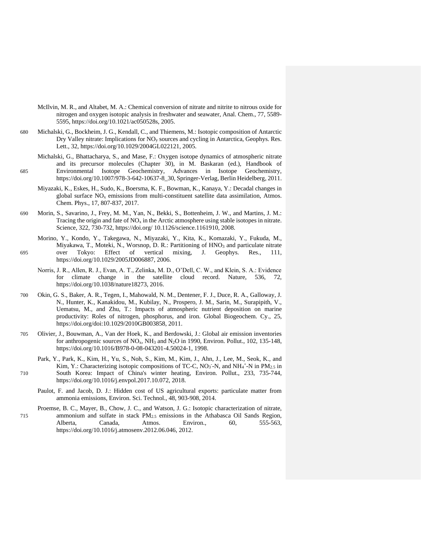- McIlvin, M. R., and Altabet, M. A.: Chemical conversion of nitrate and nitrite to nitrous oxide for nitrogen and oxygen isotopic analysis in freshwater and seawater, Anal. Chem., 77, 5589- 5595, https://doi.org/10.1021/ac050528s, 2005.
- 680 Michalski, G., Bockheim, J. G., Kendall, C., and Thiemens, M.: Isotopic composition of Antarctic Dry Valley nitrate: Implications for NO<sup>y</sup> sources and cycling in Antarctica, Geophys. Res. Lett., 32, https://doi.org/10.1029/2004GL022121, 2005.
- Michalski, G., Bhattacharya, S., and Mase, F.: Oxygen isotope dynamics of atmospheric nitrate and its precursor molecules (Chapter 30), in M. Baskaran (ed.), Handbook of 685 Environmental Isotope Geochemistry, Advances in Isotope Geochemistry, https://doi.org/10.1007/978-3-642-10637-8\_30, Springer-Verlag, Berlin Heidelberg, 2011.
	- Miyazaki, K., Eskes, H., Sudo, K., Boersma, K. F., Bowman, K., Kanaya, Y.: Decadal changes in global surface  $NO<sub>x</sub>$  emissions from multi-constituent satellite data assimilation, Atmos. Chem. Phys., 17, 807-837, 2017.
- 690 Morin, S., Savarino, J., Frey, M. M., Yan, N., Bekki, S., Bottenheim, J. W., and Martins, J. M.: Tracing the origin and fate of  $NO_x$  in the Arctic atmosphere using stable isotopes in nitrate. Science, 322, 730-732, https://doi.org/ 10.1126/science.1161910, 2008.
- Morino, Y., Kondo, Y., Takegawa, N., Miyazaki, Y., Kita, K., Komazaki, Y., Fukuda, M., Miyakawa, T., Moteki, N., Worsnop, D. R.: Partitioning of HNO<sub>3</sub> and particulate nitrate over Tokyo: Effect of vertical mixing, J. Geophys. Res., 111, 695 over Tokyo: Effect of vertical mixing, J. Geophys. Res., 111, https://doi.org/10.1029/2005JD006887, 2006.
	- Norris, J. R., Allen, R. J., Evan, A. T., Zelinka, M. D., O'Dell, C. W., and Klein, S. A.: Evidence for climate change in the satellite cloud record. Nature, 536, 72, https://doi.org/10.1038/nature18273, 2016.
- 700 Okin, G. S., Baker, A. R., Tegen, I., Mahowald, N. M., Dentener, F. J., Duce, R. A., Galloway, J. N., Hunter, K., Kanakidou, M., Kubilay, N., Prospero, J. M., Sarin, M., Surapipith, V., Uematsu, M., and Zhu, T.: Impacts of atmospheric nutrient deposition on marine productivity: Roles of nitrogen, phosphorus, and iron. Global Biogeochem. Cy., 25, https://doi.org/doi:10.1029/2010GB003858, 2011.
- 705 Olivier, J., Bouwman, A., Van der Hoek, K., and Berdowski, J.: Global air emission inventories for anthropogenic sources of  $NO<sub>x</sub>$ , NH<sub>3</sub> and N<sub>2</sub>O in 1990, Environ. Pollut., 102, 135-148, https://doi.org/10.1016/B978-0-08-043201-4.50024-1, 1998.
- Park, Y., Park, K., Kim, H., Yu, S., Noh, S., Kim, M., Kim, J., Ahn, J., Lee, M., Seok, K., and Kim, Y.: Characterizing isotopic compositions of TC-C,  $NO<sub>3</sub>$ -N, and NH<sub>4</sub><sup>+</sup>-N in PM<sub>2.5</sub> in 710 South Korea: Impact of China's winter heating, Environ. Pollut., 233, 735-744, https://doi.org/10.1016/j.envpol.2017.10.072, 2018.
	- Paulot, F. and Jacob, D. J.: Hidden cost of US agricultural exports: particulate matter from ammonia emissions, Environ. Sci. Technol., 48, 903-908, 2014.
- Proemse, B. C., Mayer, B., Chow, J. C., and Watson, J. G.: Isotopic characterization of nitrate, 715 ammonium and sulfate in stack PM2.5 emissions in the Athabasca Oil Sands Region, Alberta, Canada, Atmos. Environ., 60, 555-563, https://doi.org/10.1016/j.atmosenv.2012.06.046, 2012.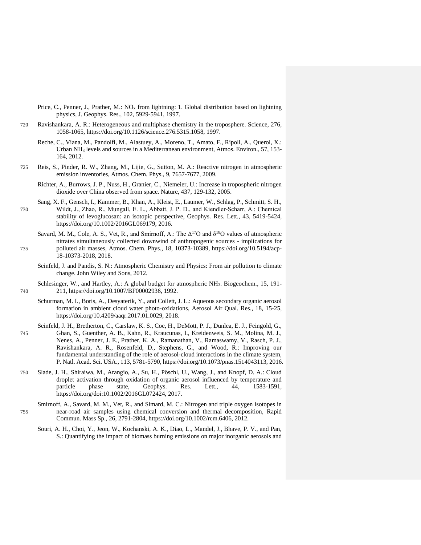Price, C., Penner, J., Prather, M.: NO<sub>x</sub> from lightning: 1. Global distribution based on lightning physics, J. Geophys. Res., 102, 5929-5941, 1997.

- 720 Ravishankara, A. R.: Heterogeneous and multiphase chemistry in the troposphere. Science, 276, 1058-1065, https://doi.org/10.1126/science.276.5315.1058, 1997.
	- Reche, C., Viana, M., Pandolfi, M., Alastuey, A., Moreno, T., Amato, F., Ripoll, A., Querol, X.: Urban NH<sup>3</sup> levels and sources in a Mediterranean environment, Atmos. Environ., 57, 153- 164, 2012.
- 725 Reis, S., Pinder, R. W., Zhang, M., Lijie, G., Sutton, M. A.: Reactive nitrogen in atmospheric emission inventories, Atmos. Chem. Phys., 9, 7657-7677, 2009.
	- Richter, A., Burrows, J. P., Nuss, H., Granier, C., Niemeier, U.: Increase in tropospheric nitrogen dioxide over China observed from space. Nature, 437, 129-132, 2005.
- Sang, X. F., Gensch, I., Kammer, B., Khan, A., Kleist, E., Laumer, W., Schlag, P., Schmitt, S. H., 730 Wildt, J., Zhao, R., Mungall, E. L., Abbatt, J. P. D., and Kiendler‐Scharr, A.: Chemical stability of levoglucosan: an isotopic perspective, Geophys. Res. Lett., 43, 5419-5424, https://doi.org/10.1002/2016GL069179, 2016.
- Savard, M. M., Cole, A. S., Vet, R., and Smirnoff, A.: The  $\Delta^{17}O$  and  $\delta^{18}O$  values of atmospheric nitrates simultaneously collected downwind of anthropogenic sources - implications for 735 polluted air masses, Atmos. Chem. Phys., 18, 10373-10389, https://doi.org/10.5194/acp-18-10373-2018, 2018.
	- Seinfeld, J. and Pandis, S. N.: Atmospheric Chemistry and Physics: From air pollution to climate change. John Wiley and Sons, 2012.
- Schlesinger, W., and Hartley, A.: A global budget for atmospheric NH<sub>3</sub>. Biogeochem., 15, 191-740 211, https://doi.org/10.1007/BF00002936, 1992.
	- Schurman, M. I., Boris, A., Desyaterik, Y., and Collett, J. L.: Aqueous secondary organic aerosol formation in ambient cloud water photo-oxidations, Aerosol Air Qual. Res., 18, 15-25, https://doi.org/10.4209/aaqr.2017.01.0029, 2018.
- Seinfeld, J. H., Bretherton, C., Carslaw, K. S., Coe, H., DeMott, P. J., Dunlea, E. J., Feingold, G., 745 Ghan, S., Guenther, A. B., Kahn, R., Kraucunas, I., Kreidenweis, S. M., Molina, M. J., Nenes, A., Penner, J. E., Prather, K. A., Ramanathan, V., Ramaswamy, V., Rasch, P. J., Ravishankara, A. R., Rosenfeld, D., Stephens, G., and Wood, R.: Improving our fundamental understanding of the role of aerosol-cloud interactions in the climate system, P. Natl. Acad. Sci. USA., 113, 5781-5790, https://doi.org/10.1073/pnas.1514043113, 2016.
- 750 Slade, J. H., Shiraiwa, M., Arangio, A., Su, H., Pöschl, U., Wang, J., and Knopf, D. A.: Cloud droplet activation through oxidation of organic aerosol influenced by temperature and particle phase state, Geophys. Res. Lett., 44, 1583-1591, https://doi.org/doi:10.1002/2016GL072424, 2017.
- Smirnoff, A., Savard, M. M., Vet, R., and Simard, M. C.: Nitrogen and triple oxygen isotopes in 755 near-road air samples using chemical conversion and thermal decomposition, Rapid Commun. Mass Sp., 26, 2791-2804, https://doi.org/10.1002/rcm.6406, 2012.
	- Souri, A. H., Choi, Y., Jeon, W., Kochanski, A. K., Diao, L., Mandel, J., Bhave, P. V., and Pan, S.: Quantifying the impact of biomass burning emissions on major inorganic aerosols and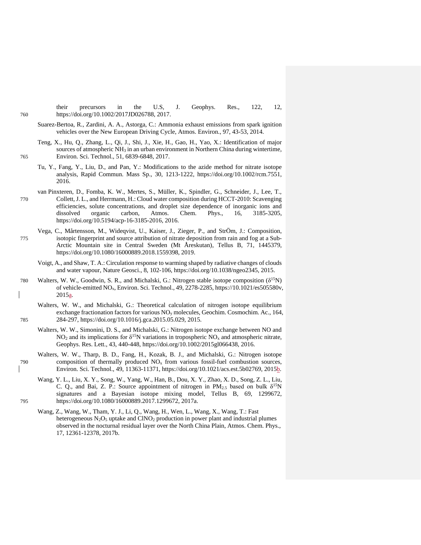their precursors in the U.S, J. Geophys. Res., 122, 12, 760 https://doi.org/10.1002/2017JD026788, 2017.

- Suarez-Bertoa, R., Zardini, A. A., Astorga, C.: Ammonia exhaust emissions from spark ignition vehicles over the New European Driving Cycle, Atmos. Environ., 97, 43-53, 2014.
- Teng, X., Hu, Q., Zhang, L., Qi, J., Shi, J., Xie, H., Gao, H., Yao, X.: Identification of major sources of atmospheric NH<sub>3</sub> in an urban environment in Northern China during wintertime, 765 Environ. Sci. Technol., 51, 6839-6848, 2017.
	- Tu, Y., Fang, Y., Liu, D., and Pan, Y.: Modifications to the azide method for nitrate isotope analysis, Rapid Commun. Mass Sp., 30, 1213-1222, https://doi.org/10.1002/rcm.7551, 2016.
- van Pinxteren, D., Fomba, K. W., Mertes, S., Müller, K., Spindler, G., Schneider, J., Lee, T., 770 Collett, J. L., and Herrmann, H.: Cloud water composition during HCCT-2010: Scavenging efficiencies, solute concentrations, and droplet size dependence of inorganic ions and dissolved organic carbon, Atmos. Chem. Phys., 16, 3185-3205, https://doi.org/10.5194/acp-16-3185-2016, 2016.
- Vega, C., Mårtensson, M., Wideqvist, U., Kaiser, J., Zieger, P., and StrÖm, J.: [Composition,](https://www.tandfonline.com/doi/abs/10.1080/16000889.2018.1559398)  775 [isotopic fingerprint and source attribution of nitrate deposition from rain and fog at a Sub-](https://www.tandfonline.com/doi/abs/10.1080/16000889.2018.1559398)[Arctic Mountain site in Central Sweden \(Mt Åreskutan\),](https://www.tandfonline.com/doi/abs/10.1080/16000889.2018.1559398) Tellus B, 71, 1445379, [https://doi.org/10.1080/16000889.2018.1559398,](https://doi.org/10.1080/16000889.2018.1559398) 2019.
	- Voigt, A., and Shaw, T. A.: Circulation response to warming shaped by radiative changes of clouds and water vapour, Nature Geosci., 8, 102-106, https://doi.org/10.1038/ngeo2345, 2015.
- 780 Walters, W. W., Goodwin, S. R., and Michalski, G.: Nitrogen stable isotope composition  $(\delta^{15}N)$ of vehicle-emitted NOx, Environ. Sci. Technol., 49, 2278-2285, https://10.1021/es505580v, 2015a.
- Walters, W. W., and Michalski, G.: Theoretical calculation of nitrogen isotope equilibrium exchange fractionation factors for various NO<sup>y</sup> molecules, Geochim. Cosmochim. Ac., 164, 785 284-297, https://doi.org/10.1016/j.gca.2015.05.029, 2015.
	- Walters, W. W., Simonini, D. S., and Michalski, G.: Nitrogen isotope exchange between NO and NO<sub>2</sub> and its implications for  $\delta^{15}N$  variations in tropospheric NO<sub>x</sub> and atmospheric nitrate, Geophys. Res. Lett., 43, 440-448, https://doi.org/10.1002/2015gl066438, 2016.
- Walters, W. W., Tharp, B. D., Fang, H., Kozak, B. J., and Michalski, G.: Nitrogen isotope  $790$  composition of thermally produced  $NO<sub>x</sub>$  from various fossil-fuel combustion sources, Environ. Sci. Technol., 49, 11363-11371, https://doi.org/10.1021/acs.est.5b02769, 2015b.
- Wang, Y. L., Liu, X. Y., Song, W., Yang, W., Han, B., Dou, X. Y., Zhao, X. D., Song, Z. L., Liu, C. Q., and Bai, Z. P.: Source appointment of nitrogen in  $PM_{2.5}$  based on bulk  $\delta^{15}N$ signatures and a Bayesian isotope mixing model, Tellus B, 69, 1299672, 795 https://doi.org/10.1080/16000889.2017.1299672, 2017a.
	- Wang, Z., Wang, W., Tham, Y. J., Li, Q., Wang, H., Wen, L., Wang, X., Wang, T.: Fast heterogeneous  $N_2O_5$  uptake and  $CNO_2$  production in power plant and industrial plumes observed in the nocturnal residual layer over the North China Plain, Atmos. Chem. Phys., 17, 12361-12378, 2017b.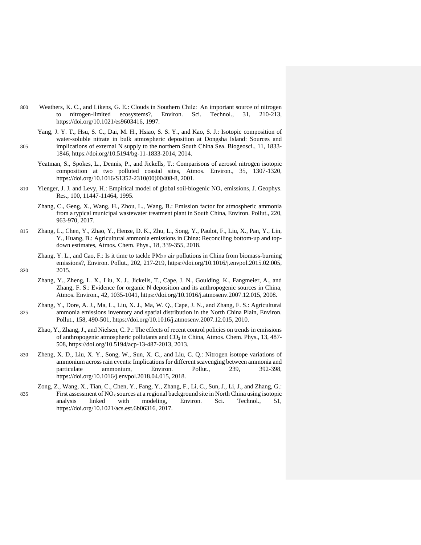- 800 Weathers, K. C., and Likens, G. E.: Clouds in Southern Chile:  An important source of nitrogen to nitrogen-limited ecosystems?, Environ. Sci. Technol., 31, 210-213, https://doi.org/10.1021/es9603416, 1997.
- Yang, J. Y. T., Hsu, S. C., Dai, M. H., Hsiao, S. S. Y., and Kao, S. J.: Isotopic composition of water-soluble nitrate in bulk atmospheric deposition at Dongsha Island: Sources and 805 implications of external N supply to the northern South China Sea. Biogeosci., 11, 1833- 1846, https://doi.org/10.5194/bg-11-1833-2014, 2014.
	- Yeatman, S., Spokes, L., Dennis, P., and Jickells, T.: Comparisons of aerosol nitrogen isotopic composition at two polluted coastal sites, Atmos. Environ., 35, 1307-1320, https://doi.org/10.1016/S1352-2310(00)00408-8, 2001.
- 810 Yienger, J. J. and Levy, H.: Empirical model of global soil-biogenic  $NO<sub>x</sub>$  emissions, J. Geophys. Res., 100, 11447-11464, 1995.
	- Zhang, C., Geng, X., Wang, H., Zhou, L., Wang, B.: Emission factor for atmospheric ammonia from a typical municipal wastewater treatment plant in South China, Environ. Pollut., 220, 963-970, 2017.
- 815 Zhang, L., Chen, Y., Zhao, Y., Henze, D. K., Zhu, L., Song, Y., Paulot, F., Liu, X., Pan, Y., Lin, Y., Huang, B.: Agricultural ammonia emissions in China: Reconciling bottom-up and topdown estimates, Atmos. Chem. Phys., 18, 339-355, 2018.
- Zhang, Y. L., and Cao, F.: Is it time to tackle  $PM_{2.5}$  air pollutions in China from biomass-burning emissions?, Environ. Pollut., 202, 217-219, https://doi.org/10.1016/j.envpol.2015.02.005, 820 2015.
	- Zhang, Y., Zheng, L. X., Liu, X. J., Jickells, T., Cape, J. N., Goulding, K., Fangmeier, A., and Zhang, F. S.: Evidence for organic N deposition and its anthropogenic sources in China, Atmos. Environ., 42, 1035-1041, https://doi.org/10.1016/j.atmosenv.2007.12.015, 2008.
- Zhang, Y., Dore, A. J., Ma, L., Liu, X. J., Ma, W. Q., Cape, J. N., and Zhang, F. S.: Agricultural 825 ammonia emissions inventory and spatial distribution in the North China Plain, Environ. Pollut., 158, 490-501, https://doi.org/10.1016/j.atmosenv.2007.12.015, 2010.
	- Zhao, Y., Zhang, J., and Nielsen, C. P.: The effects of recent control policies on trends in emissions of anthropogenic atmospheric pollutants and CO<sub>2</sub> in China, Atmos. Chem. Phys., 13, 487-508, https://doi.org/10.5194/acp-13-487-2013, 2013.
- 830 Zheng, X. D., Liu, X. Y., Song, W., Sun, X. C., and Liu, C. Q.: Nitrogen isotope variations of ammonium across rain events: Implications for different scavenging between ammonia and particulate ammonium, Environ. Pollut., 239, 392-398, https://doi.org/10.1016/j.envpol.2018.04.015, 2018.
- Zong, Z., Wang, X., Tian, C., Chen, Y., Fang, Y., Zhang, F., Li, C., Sun, J., Li, J., and Zhang, G.: 835 First assessment of  $NO<sub>x</sub>$  sources at a regional background site in North China using isotopic analysis linked with modeling, Environ. Sci. Technol., 51, https://doi.org/10.1021/acs.est.6b06316, 2017.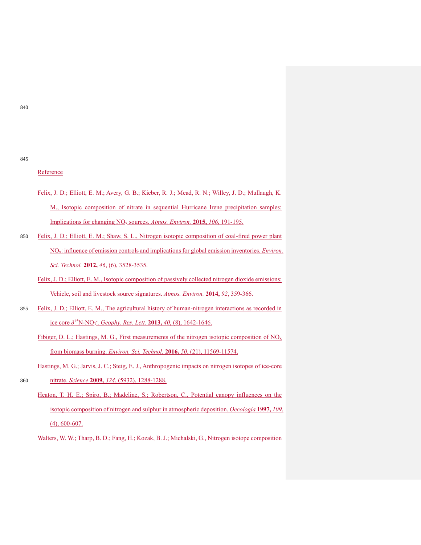# 845

Reference

- Felix, J. D.; Elliott, E. M.; Avery, G. B.; Kieber, R. J.; Mead, R. N.; Willey, J. D.; Mullaugh, K. M., Isotopic composition of nitrate in sequential Hurricane Irene precipitation samples: Implications for changing NO<sup>x</sup> sources. *Atmos. Environ.* **2015,** *106*, 191-195.
- 850 Felix, J. D.; Elliott, E. M.; Shaw, S. L., Nitrogen isotopic composition of coal-fired power plant NOx: influence of emission controls and implications for global emission inventories. *Environ. Sci. Technol.* **2012,** *46*, (6), 3528-3535.

Felix, J. D.; Elliott, E. M., Isotopic composition of passively collected nitrogen dioxide emissions: Vehicle, soil and livestock source signatures. *Atmos. Environ.* **2014,** *92*, 359-366.

855 Felix, J. D.; Elliott, E. M., The agricultural history of human-nitrogen interactions as recorded in ice core *δ* <sup>15</sup>N-NO<sup>3</sup> - . *Geophy. Res. Lett.* **2013,** *40*, (8), 1642-1646.

Fibiger, D. L.; Hastings, M. G., First measurements of the nitrogen isotopic composition of  $NO<sub>x</sub>$ from biomass burning. *Environ. Sci. Technol.* **2016,** *50*, (21), 11569-11574.

Hastings, M. G.; Jarvis, J. C.; Steig, E. J., Anthropogenic impacts on nitrogen isotopes of ice-core 860 nitrate. *Science* **2009,** *324*, (5932), 1288-1288.

Heaton, T. H. E.; Spiro, B.; Madeline, S.; Robertson, C., Potential canopy influences on the isotopic composition of nitrogen and sulphur in atmospheric deposition. *Oecologia* **1997,** *109*, (4), 600-607.

Walters, W. W.; Tharp, B. D.; Fang, H.; Kozak, B. J.; Michalski, G., Nitrogen isotope composition